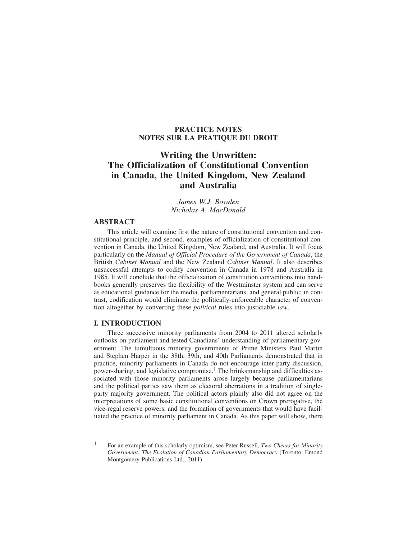# **PRACTICE NOTES NOTES SUR LA PRATIQUE DU DROIT**

# **Writing the Unwritten: The Officialization of Constitutional Convention in Canada, the United Kingdom, New Zealand and Australia**

*James W.J. Bowden Nicholas A. MacDonald*

# **ABSTRACT**

This article will examine first the nature of constitutional convention and constitutional principle, and second, examples of officialization of constitutional convention in Canada, the United Kingdom, New Zealand, and Australia. It will focus particularly on the *Manual of Official Procedure of the Government of Canada*, the British *Cabinet Manual* and the New Zealand *Cabinet Manual*. It also describes unsuccessful attempts to codify convention in Canada in 1978 and Australia in 1985. It will conclude that the officialization of constitution conventions into handbooks generally preserves the flexibility of the Westminster system and can serve as educational guidance for the media, parliamentarians, and general public; in contrast, codification would eliminate the politically-enforceable character of convention altogether by converting these *political* rules into justiciable *law*.

### **I. INTRODUCTION**

Three successive minority parliaments from 2004 to 2011 altered scholarly outlooks on parliament and tested Canadians' understanding of parliamentary government. The tumultuous minority governments of Prime Ministers Paul Martin and Stephen Harper in the 38th, 39th, and 40th Parliaments demonstrated that in practice, minority parliaments in Canada do not encourage inter-party discussion, power-sharing, and legislative compromise.1 The brinksmanship and difficulties associated with those minority parliaments arose largely because parliamentarians and the political parties saw them as electoral aberrations in a tradition of singleparty majority government. The political actors plainly also did not agree on the interpretations of some basic constitutional conventions on Crown prerogative, the vice-regal reserve powers, and the formation of governments that would have facilitated the practice of minority parliament in Canada. As this paper will show, there

<sup>1</sup> For an example of this scholarly optimism, see Peter Russell, *Two Cheers for Minority Government: The Evolution of Canadian Parliamentary Democracy* (Toronto: Emond Montgomery Publications Ltd., 2011).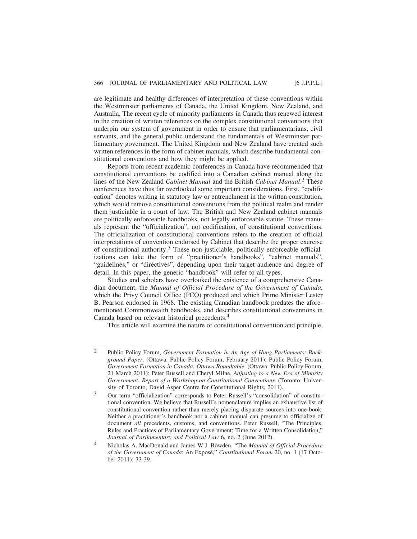are legitimate and healthy differences of interpretation of these conventions within the Westminster parliaments of Canada, the United Kingdom, New Zealand, and Australia. The recent cycle of minority parliaments in Canada thus renewed interest in the creation of written references on the complex constitutional conventions that underpin our system of government in order to ensure that parliamentarians, civil servants, and the general public understand the fundamentals of Westminster parliamentary government. The United Kingdom and New Zealand have created such written references in the form of cabinet manuals, which describe fundamental constitutional conventions and how they might be applied.

Reports from recent academic conferences in Canada have recommended that constitutional conventions be codified into a Canadian cabinet manual along the lines of the New Zealand *Cabinet Manual* and the British *Cabinet Manual*. 2 These conferences have thus far overlooked some important considerations. First, "codification" denotes writing in statutory law or entrenchment in the written constitution, which would remove constitutional conventions from the political realm and render them justiciable in a court of law. The British and New Zealand cabinet manuals are politically enforceable handbooks, not legally enforceable statute. These manuals represent the "officialization", not codification, of constitutional conventions. The officialization of constitutional conventions refers to the creation of official interpretations of convention endorsed by Cabinet that describe the proper exercise of constitutional authority.<sup>3</sup> These non-justiciable, politically enforceable officializations can take the form of "practitioner's handbooks", "cabinet manuals", "guidelines," or "directives", depending upon their target audience and degree of detail. In this paper, the generic "handbook" will refer to all types.

Studies and scholars have overlooked the existence of a comprehensive Canadian document, the *Manual of Official Procedure of the Government of Canada*, which the Privy Council Office (PCO) produced and which Prime Minister Lester B. Pearson endorsed in 1968. The existing Canadian handbook predates the aforementioned Commonwealth handbooks, and describes constitutional conventions in Canada based on relevant historical precedents.4

This article will examine the nature of constitutional convention and principle,

<sup>2</sup> Public Policy Forum, *Government Formation in An Age of Hung Parliaments: Background Paper*. (Ottawa: Public Policy Forum, February 2011); Public Policy Forum, *Government Formation in Canada: Ottawa Roundtable*. (Ottawa: Public Policy Forum, 21 March 2011); Peter Russell and Cheryl Milne, *Adjusting to a New Era of Minority Government: Report of a Workshop on Constitutional Conventions*. (Toronto: University of Toronto, David Asper Centre for Constitutional Rights, 2011).

<sup>3</sup> Our term "officialization" corresponds to Peter Russell's "consolidation" of constitutional convention. We believe that Russell's nomenclature implies an exhaustive list of constitutional convention rather than merely placing disparate sources into one book. Neither a practitioner's handbook nor a cabinet manual can presume to officialize of document *all* precedents, customs, and conventions. Peter Russell, "The Principles, Rules and Practices of Parliamentary Government: Time for a Written Consolidation," *Journal of Parliamentary and Political Law* 6, no. 2 (June 2012).

<sup>4</sup> Nicholas A. MacDonald and James W.J. Bowden, "The *Manual of Official Procedure of the Government of Canada*: An Exposé," *Constitutional Forum* 20, no. 1 (17 October 2011): 33-39.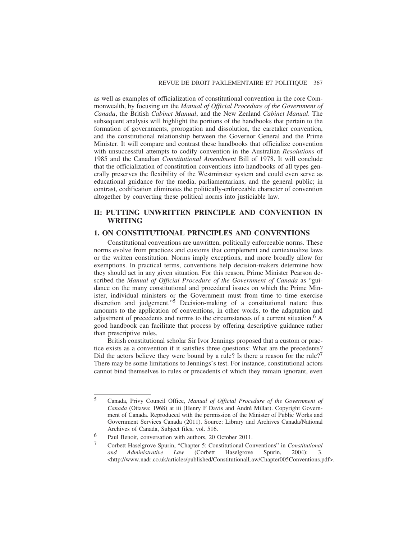as well as examples of officialization of constitutional convention in the core Commonwealth, by focusing on the *Manual of Official Procedure of the Government of Canada*, the British *Cabinet Manual*, and the New Zealand *Cabinet Manual*. The subsequent analysis will highlight the portions of the handbooks that pertain to the formation of governments, prorogation and dissolution, the caretaker convention, and the constitutional relationship between the Governor General and the Prime Minister. It will compare and contrast these handbooks that officialize convention with unsuccessful attempts to codify convention in the Australian *Resolutions* of 1985 and the Canadian *Constitutional Amendment* Bill of 1978. It will conclude that the officialization of constitution conventions into handbooks of all types generally preserves the flexibility of the Westminster system and could even serve as educational guidance for the media, parliamentarians, and the general public; in contrast, codification eliminates the politically-enforceable character of convention altogether by converting these political norms into justiciable law.

# **II: PUTTING UNWRITTEN PRINCIPLE AND CONVENTION IN WRITING**

# **1. ON CONSTITUTIONAL PRINCIPLES AND CONVENTIONS**

Constitutional conventions are unwritten, politically enforceable norms. These norms evolve from practices and customs that complement and contextualize laws or the written constitution. Norms imply exceptions, and more broadly allow for exemptions. In practical terms, conventions help decision-makers determine how they should act in any given situation. For this reason, Prime Minister Pearson described the *Manual of Official Procedure of the Government of Canada* as "guidance on the many constitutional and procedural issues on which the Prime Minister, individual ministers or the Government must from time to time exercise discretion and judgement."5 Decision-making of a constitutional nature thus amounts to the application of conventions, in other words, to the adaptation and adjustment of precedents and norms to the circumstances of a current situation.<sup>6</sup> A good handbook can facilitate that process by offering descriptive guidance rather than prescriptive rules.

British constitutional scholar Sir Ivor Jennings proposed that a custom or practice exists as a convention if it satisfies three questions: What are the precedents? Did the actors believe they were bound by a rule? Is there a reason for the rule?<sup>7</sup> There may be some limitations to Jennings's test. For instance, constitutional actors cannot bind themselves to rules or precedents of which they remain ignorant, even

<sup>5</sup> Canada, Privy Council Office, *Manual of Official Procedure of the Government of Canada* (Ottawa: 1968) at iii (Henry F Davis and André Millar). Copyright Government of Canada. Reproduced with the permission of the Minister of Public Works and Government Services Canada (2011). Source: Library and Archives Canada/National Archives of Canada, Subject files, vol. 516.

<sup>&</sup>lt;sup>6</sup> Paul Benoit, conversation with authors, 20 October 2011.

<sup>7</sup> Corbett Haselgrove Spurin, "Chapter 5: Constitutional Conventions" in *Constitutional and Administrative Law* (Corbett Haselgrove Spurin, 2004): 3. <http://www.nadr.co.uk/articles/published/ConstitutionalLaw/Chapter005Conventions.pdf>.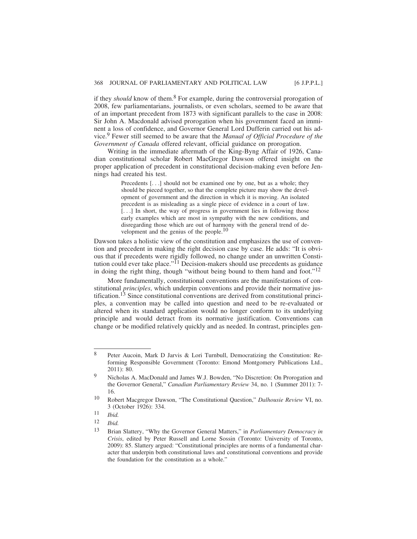if they *should* know of them.<sup>8</sup> For example, during the controversial prorogation of 2008, few parliamentarians, journalists, or even scholars, seemed to be aware that of an important precedent from 1873 with significant parallels to the case in 2008: Sir John A. Macdonald advised prorogation when his government faced an imminent a loss of confidence, and Governor General Lord Dufferin carried out his advice.9 Fewer still seemed to be aware that the *Manual of Official Procedure of the Government of Canada* offered relevant, official guidance on prorogation.

Writing in the immediate aftermath of the King-Byng Affair of 1926, Canadian constitutional scholar Robert MacGregor Dawson offered insight on the proper application of precedent in constitutional decision-making even before Jennings had created his test.

> Precedents [...] should not be examined one by one, but as a whole; they should be pieced together, so that the complete picture may show the development of government and the direction in which it is moving. An isolated precedent is as misleading as a single piece of evidence in a court of law. [...] In short, the way of progress in government lies in following those early examples which are most in sympathy with the new conditions, and disregarding those which are out of harmony with the general trend of development and the genius of the people. $10$

Dawson takes a holistic view of the constitution and emphasizes the use of convention and precedent in making the right decision case by case. He adds: "It is obvious that if precedents were rigidly followed, no change under an unwritten Constitution could ever take place."<sup> $\overline{1}1$ </sup> Decision-makers should use precedents as guidance in doing the right thing, though "without being bound to them hand and foot."<sup>12</sup>

More fundamentally, constitutional conventions are the manifestations of constitutional *principles*, which underpin conventions and provide their normative justification.<sup>13</sup> Since constitutional conventions are derived from constitutional principles, a convention may be called into question and need to be re-evaluated or altered when its standard application would no longer conform to its underlying principle and would detract from its normative justification. Conventions can change or be modified relatively quickly and as needed. In contrast, principles gen-

<sup>8</sup> Peter Aucoin, Mark D Jarvis & Lori Turnbull, Democratizing the Constitution: Reforming Responsible Government (Toronto: Emond Montgomery Publications Ltd., 2011): 80.

Nicholas A. MacDonald and James W.J. Bowden, "No Discretion: On Prorogation and the Governor General," *Canadian Parliamentary Review* 34, no. 1 (Summer 2011): 7- 16.

<sup>10</sup> Robert Macgregor Dawson, "The Constitutional Question," *Dalhousie Review* VI, no. 3 (October 1926): 334.

<sup>11</sup> *Ibid.*

<sup>12</sup> *Ibid.*

<sup>13</sup> Brian Slattery, "Why the Governor General Matters," in *Parliamentary Democracy in Crisis*, edited by Peter Russell and Lorne Sossin (Toronto: University of Toronto, 2009): 85. Slattery argued: "Constitutional principles are norms of a fundamental character that underpin both constitutional laws and constitutional conventions and provide the foundation for the constitution as a whole."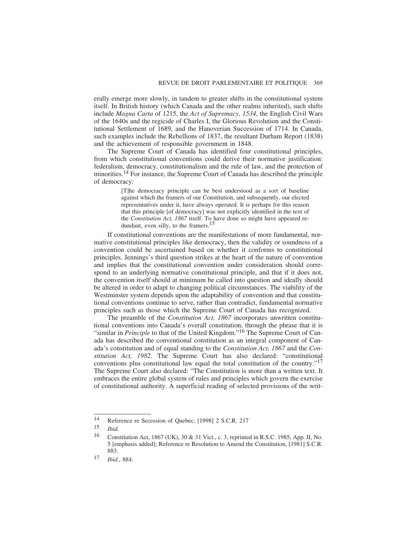erally emerge more slowly, in tandem to greater shifts in the constitutional system itself. In British history (which Canada and the other realms inherited), such shifts include *Magna Carta* of 1215, the *Act of Supremacy, 1534*, the English Civil Wars of the 1640s and the regicide of Charles I, the Glorious Revolution and the Constitutional Settlement of 1689, and the Hanoverian Succession of 1714. In Canada, such examples include the Rebellions of 1837, the resultant Durham Report (1838) and the achievement of responsible government in 1848.

The Supreme Court of Canada has identified four constitutional principles, from which constitutional conventions could derive their normative justification: federalism, democracy, constitutionalism and the rule of law, and the protection of minorities.<sup>14</sup> For instance, the Supreme Court of Canada has described the principle of democracy:

> [T]he democracy principle can be best understood as a sort of baseline against which the framers of our Constitution, and subsequently, our elected representatives under it, have always operated. It is perhaps for this reason that this principle [of democracy] was not explicitly identified in the text of the *Constitution Act, 1867* itself. To have done so might have appeared redundant, even silly, to the framers.15

If constitutional conventions are the manifestations of more fundamental, normative constitutional principles like democracy, then the validity or soundness of a convention could be ascertained based on whether it conforms to constitutional principles. Jennings's third question strikes at the heart of the nature of convention and implies that the constitutional convention under consideration should correspond to an underlying normative constitutional principle, and that if it does not, the convention itself should at minimum be called into question and ideally should be altered in order to adapt to changing political circumstances. The viability of the Westminster system depends upon the adaptability of convention and that constitutional conventions continue to serve, rather than contradict, fundamental normative principles such as those which the Supreme Court of Canada has recognized.

The preamble of the *Constitution Act, 1867* incorporates unwritten constitutional conventions into Canada's overall constitution, through the phrase that it is "similar in *Principle* to that of the United Kingdom."<sup>16</sup> The Supreme Court of Canada has described the conventional constitution as an integral component of Canada's constitution and of equal standing to the *Constitution Act, 1867* and the *Constitution Act, 1982*. The Supreme Court has also declared: "constitutional conventions plus constitutional law equal the total constitution of the country."17 The Supreme Court also declared: "The Constitution is more than a written text. It embraces the entire global system of rules and principles which govern the exercise of constitutional authority. A superficial reading of selected provisions of the writ-

<sup>14</sup> Reference re Secession of Quebec, [1998] 2 S.C.R. 217

<sup>15</sup> *Ibid.*

<sup>&</sup>lt;sup>16</sup> Constitution Act, 1867 (UK), 30 & 31 Vict., c. 3, reprinted in R.S.C. 1985, App. II, No. 5 [emphasis added]; Reference re Resolution to Amend the Constitution, [1981] S.C.R. 883.

<sup>17</sup> *Ibid.*, 884.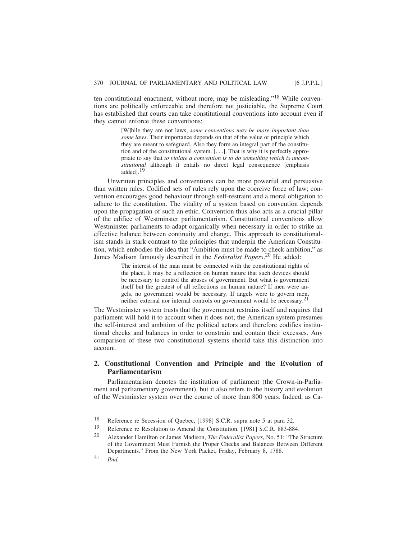ten constitutional enactment, without more, may be misleading."18 While conventions are politically enforceable and therefore not justiciable, the Supreme Court has established that courts can take constitutional conventions into account even if they cannot enforce these conventions:

> [W]hile they are not laws, *some conventions may be more important than some laws*. Their importance depends on that of the value or principle which they are meant to safeguard. Also they form an integral part of the constitution and of the constitutional system. [. . .]. That is why it is perfectly appropriate to say that *to violate a convention is to do something which is unconstitutional* although it entails no direct legal consequence [emphasis added].19

Unwritten principles and conventions can be more powerful and persuasive than written rules. Codified sets of rules rely upon the coercive force of law; convention encourages good behaviour through self-restraint and a moral obligation to adhere to the constitution. The vitality of a system based on convention depends upon the propagation of such an ethic. Convention thus also acts as a crucial pillar of the edifice of Westminster parliamentarism. Constitutional conventions allow Westminster parliaments to adapt organically when necessary in order to strike an effective balance between continuity and change. This approach to constitutionalism stands in stark contrast to the principles that underpin the American Constitution, which embodies the idea that "Ambition must be made to check ambition," as James Madison famously described in the *Federalist Papers*. 20 He added:

> The interest of the man must be connected with the constitutional rights of the place. It may be a reflection on human nature that such devices should be necessary to control the abuses of government. But what is government itself but the greatest of all reflections on human nature? If men were angels, no government would be necessary. If angels were to govern men, neither external nor internal controls on government would be necessary.21

The Westminster system trusts that the government restrains itself and requires that parliament will hold it to account when it does not; the American system presumes the self-interest and ambition of the political actors and therefore codifies institutional checks and balances in order to constrain and contain their excesses. Any comparison of these two constitutional systems should take this distinction into account.

# **2. Constitutional Convention and Principle and the Evolution of Parliamentarism**

Parliamentarism denotes the institution of parliament (the Crown-in-Parliament and parliamentary government), but it also refers to the history and evolution of the Westminster system over the course of more than 800 years. Indeed, as Ca-

<sup>18</sup> Reference re Secession of Quebec, [1998] S.C.R. supra note 5 at para 32.

<sup>19</sup> Reference re Resolution to Amend the Constitution, [1981] S.C.R. 883-884.

<sup>20</sup> Alexander Hamilton or James Madison, *The Federalist Papers*, No. 51: "The Structure of the Government Must Furnish the Proper Checks and Balances Between Different Departments." From the New York Packet, Friday, February 8, 1788.

<sup>21</sup> *Ibid.*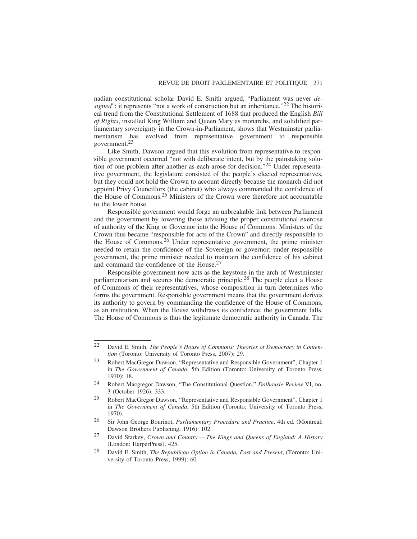nadian constitutional scholar David E. Smith argued, "Parliament was never *designed*"; it represents "not a work of construction but an inheritance."<sup>22</sup> The historical trend from the Constitutional Settlement of 1688 that produced the English *Bill of Rights*, installed King William and Queen Mary as monarchs, and solidified parliamentary sovereignty in the Crown-in-Parliament, shows that Westminster parliamentarism has evolved from representative government to responsible government.<sup>23</sup>

Like Smith, Dawson argued that this evolution from representative to responsible government occurred "not with deliberate intent, but by the painstaking solution of one problem after another as each arose for decision."24 Under representative government, the legislature consisted of the people's elected representatives, but they could not hold the Crown to account directly because the monarch did not appoint Privy Councillors (the cabinet) who always commanded the confidence of the House of Commons.25 Ministers of the Crown were therefore not accountable to the lower house.

Responsible government would forge an unbreakable link between Parliament and the government by lowering those advising the proper constitutional exercise of authority of the King or Governor into the House of Commons. Ministers of the Crown thus became "responsible for acts of the Crown" and directly responsible to the House of Commons.26 Under representative government, the prime minister needed to retain the confidence of the Sovereign or governor; under responsible government, the prime minister needed to maintain the confidence of his cabinet and command the confidence of the House.<sup>27</sup>

Responsible government now acts as the keystone in the arch of Westminster parliamentarism and secures the democratic principle.28 The people elect a House of Commons of their representatives, whose composition in turn determines who forms the government. Responsible government means that the government derives its authority to govern by commanding the confidence of the House of Commons, as an institution. When the House withdraws its confidence, the government falls. The House of Commons is thus the legitimate democratic authority in Canada. The

<sup>22</sup> David E. Smith, *The People's House of Commons: Theories of Democracy in Contention* (Toronto: University of Toronto Press, 2007): 29.

<sup>23</sup> Robert MacGregor Dawson, "Representative and Responsible Government", Chapter 1 in *The Government of Canada*, 5th Edition (Toronto: University of Toronto Press, 1970): 18.

<sup>24</sup> Robert Macgregor Dawson, "The Constitutional Question," *Dalhousie Review* VI, no. 3 (October 1926): 333.

<sup>25</sup> Robert MacGregor Dawson, "Representative and Responsible Government", Chapter 1 in *The Government of Canada*, 5th Edition (Toronto: University of Toronto Press, 1970).

<sup>26</sup> Sir John George Bourinot, *Parliamentary Procedure and Practice*, 4th ed. (Montreal: Dawson Brothers Publishing, 1916): 102.

<sup>27</sup> David Starkey, *Crown and Country — The Kings and Queens of England: A History* (London: HarperPress), 425.

<sup>28</sup> David E. Smith, *The Republican Option in Canada, Past and Present*, (Toronto: University of Toronto Press, 1999): 60.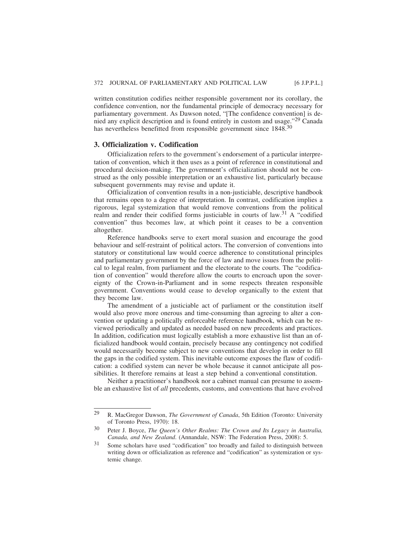written constitution codifies neither responsible government nor its corollary, the confidence convention, nor the fundamental principle of democracy necessary for parliamentary government. As Dawson noted, "[The confidence convention] is denied any explicit description and is found entirely in custom and usage."29 Canada has nevertheless benefitted from responsible government since 1848.30

#### **3. Officialization v. Codification**

Officialization refers to the government's endorsement of a particular interpretation of convention, which it then uses as a point of reference in constitutional and procedural decision-making. The government's officialization should not be construed as the only possible interpretation or an exhaustive list, particularly because subsequent governments may revise and update it.

Officialization of convention results in a non-justiciable, descriptive handbook that remains open to a degree of interpretation. In contrast, codification implies a rigorous, legal systemization that would remove conventions from the political realm and render their codified forms justiciable in courts of law.<sup>31</sup> A "codified convention" thus becomes law, at which point it ceases to be a convention altogether.

Reference handbooks serve to exert moral suasion and encourage the good behaviour and self-restraint of political actors. The conversion of conventions into statutory or constitutional law would coerce adherence to constitutional principles and parliamentary government by the force of law and move issues from the political to legal realm, from parliament and the electorate to the courts. The "codification of convention" would therefore allow the courts to encroach upon the sovereignty of the Crown-in-Parliament and in some respects threaten responsible government. Conventions would cease to develop organically to the extent that they become law.

The amendment of a justiciable act of parliament or the constitution itself would also prove more onerous and time-consuming than agreeing to alter a convention or updating a politically enforceable reference handbook, which can be reviewed periodically and updated as needed based on new precedents and practices. In addition, codification must logically establish a more exhaustive list than an officialized handbook would contain, precisely because any contingency not codified would necessarily become subject to new conventions that develop in order to fill the gaps in the codified system. This inevitable outcome exposes the flaw of codification: a codified system can never be whole because it cannot anticipate all possibilities. It therefore remains at least a step behind a conventional constitution.

Neither a practitioner's handbook nor a cabinet manual can presume to assemble an exhaustive list of *all* precedents, customs, and conventions that have evolved

<sup>29</sup> R. MacGregor Dawson, *The Government of Canada*, 5th Edition (Toronto: University of Toronto Press, 1970): 18.

<sup>30</sup> Peter J. Boyce, *The Queen's Other Realms: The Crown and Its Legacy in Australia, Canada, and New Zealand*. (Annandale, NSW: The Federation Press, 2008): 5.

<sup>31</sup> Some scholars have used "codification" too broadly and failed to distinguish between writing down or officialization as reference and "codification" as systemization or systemic change.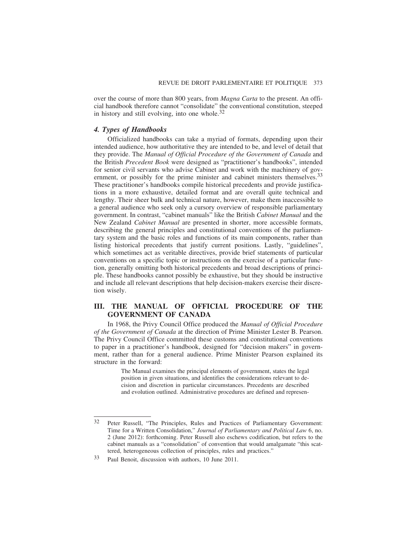over the course of more than 800 years, from *Magna Carta* to the present. An official handbook therefore cannot "consolidate" the conventional constitution, steeped in history and still evolving, into one whole. $32$ 

### *4. Types of Handbooks*

Officialized handbooks can take a myriad of formats, depending upon their intended audience, how authoritative they are intended to be, and level of detail that they provide. The *Manual of Official Procedure of the Government of Canada* and the British *Precedent Book* were designed as "practitioner's handbooks", intended for senior civil servants who advise Cabinet and work with the machinery of government, or possibly for the prime minister and cabinet ministers themselves.<sup>33</sup> These practitioner's handbooks compile historical precedents and provide justifications in a more exhaustive, detailed format and are overall quite technical and lengthy. Their sheer bulk and technical nature, however, make them inaccessible to a general audience who seek only a cursory overview of responsible parliamentary government. In contrast, "cabinet manuals" like the British *Cabinet Manual* and the New Zealand *Cabinet Manual* are presented in shorter, more accessible formats, describing the general principles and constitutional conventions of the parliamentary system and the basic roles and functions of its main components, rather than listing historical precedents that justify current positions. Lastly, "guidelines", which sometimes act as veritable directives, provide brief statements of particular conventions on a specific topic or instructions on the exercise of a particular function, generally omitting both historical precedents and broad descriptions of principle. These handbooks cannot possibly be exhaustive, but they should be instructive and include all relevant descriptions that help decision-makers exercise their discretion wisely.

# **III. THE MANUAL OF OFFICIAL PROCEDURE OF THE GOVERNMENT OF CANADA**

In 1968, the Privy Council Office produced the *Manual of Official Procedure of the Government of Canada* at the direction of Prime Minister Lester B. Pearson. The Privy Council Office committed these customs and constitutional conventions to paper in a practitioner's handbook, designed for "decision makers" in government, rather than for a general audience. Prime Minister Pearson explained its structure in the forward:

> The Manual examines the principal elements of government, states the legal position in given situations, and identifies the considerations relevant to decision and discretion in particular circumstances. Precedents are described and evolution outlined. Administrative procedures are defined and represen-

<sup>32</sup> Peter Russell, "The Principles, Rules and Practices of Parliamentary Government: Time for a Written Consolidation," *Journal of Parliamentary and Political Law* 6, no. 2 (June 2012): forthcoming. Peter Russell also eschews codification, but refers to the cabinet manuals as a "consolidation" of convention that would amalgamate "this scattered, heterogeneous collection of principles, rules and practices."

<sup>33</sup> Paul Benoit, discussion with authors, 10 June 2011.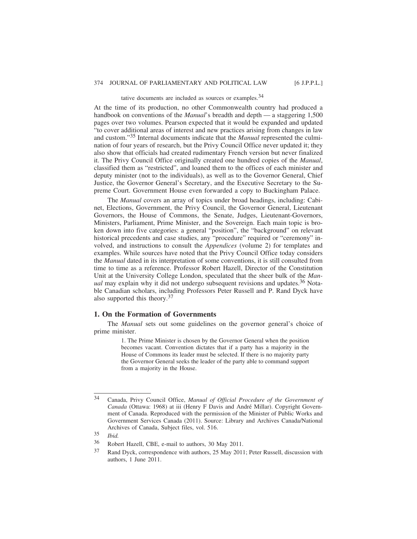## tative documents are included as sources or examples.34

At the time of its production, no other Commonwealth country had produced a handbook on conventions of the *Manual*'s breadth and depth — a staggering 1,500 pages over two volumes. Pearson expected that it would be expanded and updated "to cover additional areas of interest and new practices arising from changes in law and custom."35 Internal documents indicate that the *Manual* represented the culmination of four years of research, but the Privy Council Office never updated it; they also show that officials had created rudimentary French version but never finalized it. The Privy Council Office originally created one hundred copies of the *Manual*, classified them as "restricted", and loaned them to the offices of each minister and deputy minister (not to the individuals), as well as to the Governor General, Chief Justice, the Governor General's Secretary, and the Executive Secretary to the Supreme Court. Government House even forwarded a copy to Buckingham Palace.

The *Manual* covers an array of topics under broad headings, including: Cabinet, Elections, Government, the Privy Council, the Governor General, Lieutenant Governors, the House of Commons, the Senate, Judges, Lieutenant-Governors, Ministers, Parliament, Prime Minister, and the Sovereign. Each main topic is broken down into five categories: a general "position", the "background" on relevant historical precedents and case studies, any "procedure" required or "ceremony" involved, and instructions to consult the *Appendices* (volume 2) for templates and examples. While sources have noted that the Privy Council Office today considers the *Manual* dated in its interpretation of some conventions, it is still consulted from time to time as a reference. Professor Robert Hazell, Director of the Constitution Unit at the University College London, speculated that the sheer bulk of the *Manual* may explain why it did not undergo subsequent revisions and updates.<sup>36</sup> Notable Canadian scholars, including Professors Peter Russell and P. Rand Dyck have also supported this theory.<sup>37</sup>

#### **1. On the Formation of Governments**

The *Manual* sets out some guidelines on the governor general's choice of prime minister.

> 1. The Prime Minister is chosen by the Governor General when the position becomes vacant. Convention dictates that if a party has a majority in the House of Commons its leader must be selected. If there is no majority party the Governor General seeks the leader of the party able to command support from a majority in the House.

<sup>34</sup> Canada, Privy Council Office, *Manual of Official Procedure of the Government of Canada* (Ottawa: 1968) at iii (Henry F Davis and André Millar). Copyright Government of Canada. Reproduced with the permission of the Minister of Public Works and Government Services Canada (2011). Source: Library and Archives Canada/National Archives of Canada, Subject files, vol. 516.

<sup>35</sup> *Ibid.*

<sup>36</sup> Robert Hazell, CBE, e-mail to authors, 30 May 2011.

<sup>37</sup> Rand Dyck, correspondence with authors, 25 May 2011; Peter Russell, discussion with authors, 1 June 2011.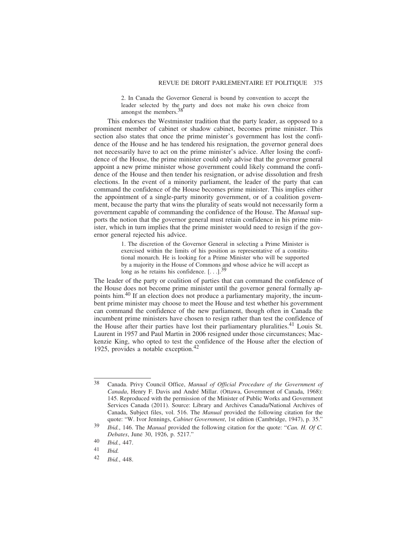2. In Canada the Governor General is bound by convention to accept the leader selected by the party and does not make his own choice from amongst the members.<sup>38</sup>

This endorses the Westminster tradition that the party leader, as opposed to a prominent member of cabinet or shadow cabinet, becomes prime minister. This section also states that once the prime minister's government has lost the confidence of the House and he has tendered his resignation, the governor general does not necessarily have to act on the prime minister's advice. After losing the confidence of the House, the prime minister could only advise that the governor general appoint a new prime minister whose government could likely command the confidence of the House and then tender his resignation, or advise dissolution and fresh elections. In the event of a minority parliament, the leader of the party that can command the confidence of the House becomes prime minister. This implies either the appointment of a single-party minority government, or of a coalition government, because the party that wins the plurality of seats would not necessarily form a government capable of commanding the confidence of the House. The *Manual* supports the notion that the governor general must retain confidence in his prime minister, which in turn implies that the prime minister would need to resign if the governor general rejected his advice.

> 1. The discretion of the Governor General in selecting a Prime Minister is exercised within the limits of his position as representative of a constitutional monarch. He is looking for a Prime Minister who will be supported by a majority in the House of Commons and whose advice he will accept as long as he retains his confidence.  $[\dots]$ <sup>39</sup>

The leader of the party or coalition of parties that can command the confidence of the House does not become prime minister until the governor general formally appoints him.40 If an election does not produce a parliamentary majority, the incumbent prime minister may choose to meet the House and test whether his government can command the confidence of the new parliament, though often in Canada the incumbent prime ministers have chosen to resign rather than test the confidence of the House after their parties have lost their parliamentary pluralities.<sup>41</sup> Louis St. Laurent in 1957 and Paul Martin in 2006 resigned under those circumstances; Mackenzie King, who opted to test the confidence of the House after the election of 1925, provides a notable exception.42

<sup>38</sup> Canada. Privy Council Office, *Manual of Official Procedure of the Government of Canada*, Henry F. Davis and André Millar. (Ottawa, Government of Canada, 1968): 145. Reproduced with the permission of the Minister of Public Works and Government Services Canada (2011). Source: Library and Archives Canada/National Archives of Canada, Subject files, vol. 516. The *Manual* provided the following citation for the quote: "W. Ivor Jennings, *Cabinet Government*, 1st edition (Cambridge, 1947), p. 35."

<sup>39</sup> *Ibid.*, 146. The *Manual* provided the following citation for the quote: "*Can. H. Of C. Debates*, June 30, 1926, p. 5217."

<sup>40</sup> *Ibid.*, 447.

<sup>41</sup> *Ibid.*

<sup>42</sup> *Ibid.*, 448.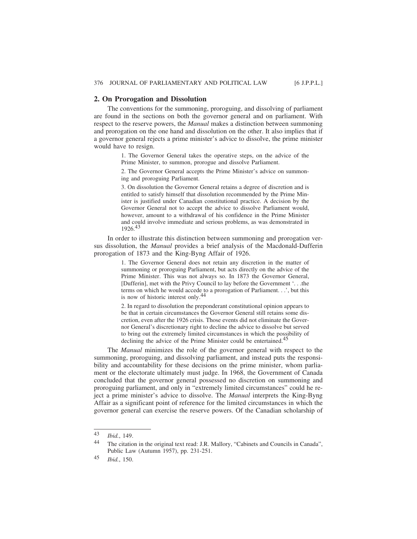### **2. On Prorogation and Dissolution**

The conventions for the summoning, proroguing, and dissolving of parliament are found in the sections on both the governor general and on parliament. With respect to the reserve powers, the *Manual* makes a distinction between summoning and prorogation on the one hand and dissolution on the other. It also implies that if a governor general rejects a prime minister's advice to dissolve, the prime minister would have to resign.

> 1. The Governor General takes the operative steps, on the advice of the Prime Minister, to summon, prorogue and dissolve Parliament.

> 2. The Governor General accepts the Prime Minister's advice on summoning and proroguing Parliament.

> 3. On dissolution the Governor General retains a degree of discretion and is entitled to satisfy himself that dissolution recommended by the Prime Minister is justified under Canadian constitutional practice. A decision by the Governor General not to accept the advice to dissolve Parliament would, however, amount to a withdrawal of his confidence in the Prime Minister and could involve immediate and serious problems, as was demonstrated in 1926.43

In order to illustrate this distinction between summoning and prorogation versus dissolution, the *Manual* provides a brief analysis of the Macdonald-Dufferin prorogation of 1873 and the King-Byng Affair of 1926.

> 1. The Governor General does not retain any discretion in the matter of summoning or proroguing Parliament, but acts directly on the advice of the Prime Minister. This was not always so. In 1873 the Governor General, [Dufferin], met with the Privy Council to lay before the Government '. . .the terms on which he would accede to a prorogation of Parliament. . .', but this is now of historic interest only.44

> 2. In regard to dissolution the preponderant constitutional opinion appears to be that in certain circumstances the Governor General still retains some discretion, even after the 1926 crisis. Those events did not eliminate the Governor General's discretionary right to decline the advice to dissolve but served to bring out the extremely limited circumstances in which the possibility of declining the advice of the Prime Minister could be entertained.45

The *Manual* minimizes the role of the governor general with respect to the summoning, proroguing, and dissolving parliament, and instead puts the responsibility and accountability for these decisions on the prime minister, whom parliament or the electorate ultimately must judge. In 1968, the Government of Canada concluded that the governor general possessed no discretion on summoning and proroguing parliament, and only in "extremely limited circumstances" could he reject a prime minister's advice to dissolve. The *Manual* interprets the King-Byng Affair as a significant point of reference for the limited circumstances in which the governor general can exercise the reserve powers. Of the Canadian scholarship of

<sup>43</sup> *Ibid.*, 149.

<sup>44</sup> The citation in the original text read: J.R. Mallory, "Cabinets and Councils in Canada", Public Law (Autumn 1957), pp. 231-251.

<sup>45</sup> *Ibid.*, 150.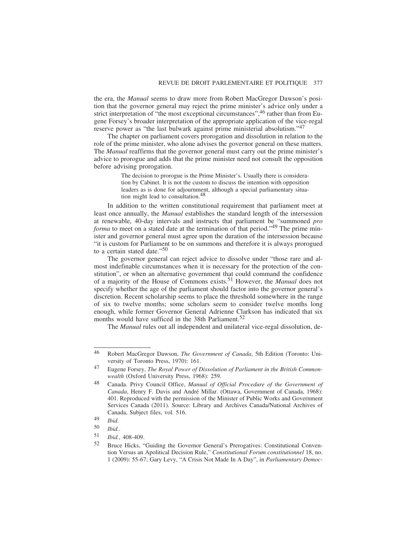the era, the *Manual* seems to draw more from Robert MacGregor Dawson's position that the governor general may reject the prime minister's advice only under a strict interpretation of "the most exceptional circumstances", <sup>46</sup> rather than from Eugene Forsey's broader interpretation of the appropriate application of the vice-regal reserve power as "the last bulwark against prime ministerial absolutism."<sup>47</sup>

The chapter on parliament covers prorogation and dissolution in relation to the role of the prime minister, who alone advises the governor general on these matters. The *Manual* reaffirms that the governor general must carry out the prime minister's advice to prorogue and adds that the prime minister need not consult the opposition before advising prorogation.

> The decision to prorogue is the Prime Minister's. Usually there is consideration by Cabinet. It is not the custom to discuss the intention with opposition leaders as is done for adjournment, although a special parliamentary situation might lead to consultation.48

In addition to the written constitutional requirement that parliament meet at least once annually, the *Manual* establishes the standard length of the intersession at renewable, 40-day intervals and instructs that parliament be "summoned *pro forma* to meet on a stated date at the termination of that period."<sup>49</sup> The prime minister and governor general must agree upon the duration of the intersession because "it is custom for Parliament to be on summons and therefore it is always prorogued to a certain stated date."50

The governor general can reject advice to dissolve under "those rare and almost indefinable circumstances when it is necessary for the protection of the constitution", or when an alternative government that could command the confidence of a majority of the House of Commons exists.51 However, the *Manual* does not specify whether the age of the parliament should factor into the governor general's discretion. Recent scholarship seems to place the threshold somewhere in the range of six to twelve months; some scholars seem to consider twelve months long enough, while former Governor General Adrienne Clarkson has indicated that six months would have sufficed in the 38th Parliament.<sup>52</sup>

The *Manual* rules out all independent and unilateral vice-regal dissolution, de-

<sup>46</sup> Robert MacGregor Dawson, *The Government of Canada*, 5th Edition (Toronto: University of Toronto Press, 1970): 161.

<sup>47</sup> Eugene Forsey, *The Royal Power of Dissolution of Parliament in the British Commonwealth* (Oxford University Press, 1968): 259.

<sup>48</sup> Canada. Privy Council Office, *Manual of Official Procedure of the Government of Canada*, Henry F. Davis and André Millar. (Ottawa, Government of Canada, 1968): 401. Reproduced with the permission of the Minister of Public Works and Government Services Canada (2011). Source: Library and Archives Canada/National Archives of Canada, Subject files, vol. 516.

<sup>49</sup> *Ibid.*

<sup>50</sup> *Ibid.*.

<sup>51</sup> *Ibid.*, 408-409.

<sup>52</sup> Bruce Hicks, "Guiding the Governor General's Prerogatives: Constitutional Convention Versus an Apolitical Decision Rule," *Constitutional Forum constitutionnel* 18, no. 1 (2009): 55-67; Gary Levy, "A Crisis Not Made In A Day", in *Parliamentary Democ-*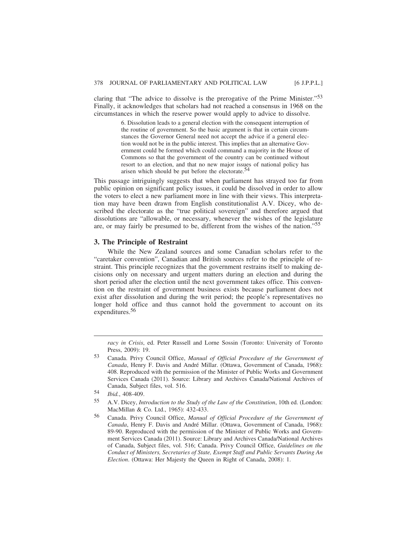claring that "The advice to dissolve is the prerogative of the Prime Minister."53 Finally, it acknowledges that scholars had not reached a consensus in 1968 on the circumstances in which the reserve power would apply to advice to dissolve.

> 6. Dissolution leads to a general election with the consequent interruption of the routine of government. So the basic argument is that in certain circumstances the Governor General need not accept the advice if a general election would not be in the public interest. This implies that an alternative Government could be formed which could command a majority in the House of Commons so that the government of the country can be continued without resort to an election, and that no new major issues of national policy has arisen which should be put before the electorate.<sup>54</sup>

This passage intriguingly suggests that when parliament has strayed too far from public opinion on significant policy issues, it could be dissolved in order to allow the voters to elect a new parliament more in line with their views. This interpretation may have been drawn from English constitutionalist A.V. Dicey, who described the electorate as the "true political sovereign" and therefore argued that dissolutions are "allowable, or necessary, whenever the wishes of the legislature are, or may fairly be presumed to be, different from the wishes of the nation."55

#### **3. The Principle of Restraint**

While the New Zealand sources and some Canadian scholars refer to the "caretaker convention", Canadian and British sources refer to the principle of restraint. This principle recognizes that the government restrains itself to making decisions only on necessary and urgent matters during an election and during the short period after the election until the next government takes office. This convention on the restraint of government business exists because parliament does not exist after dissolution and during the writ period; the people's representatives no longer hold office and thus cannot hold the government to account on its expenditures.56

*racy in Crisis*, ed. Peter Russell and Lorne Sossin (Toronto: University of Toronto Press, 2009): 19.

<sup>53</sup> Canada. Privy Council Office, *Manual of Official Procedure of the Government of Canada*, Henry F. Davis and André Millar. (Ottawa, Government of Canada, 1968): 408. Reproduced with the permission of the Minister of Public Works and Government Services Canada (2011). Source: Library and Archives Canada/National Archives of Canada, Subject files, vol. 516.

<sup>54</sup> *Ibid.*, 408-409.

<sup>55</sup> A.V. Dicey, *Introduction to the Study of the Law of the Constitution*, 10th ed. (London: MacMillan & Co. Ltd., 1965): 432-433.

<sup>56</sup> Canada. Privy Council Office, *Manual of Official Procedure of the Government of Canada*, Henry F. Davis and André Millar. (Ottawa, Government of Canada, 1968): 89-90. Reproduced with the permission of the Minister of Public Works and Government Services Canada (2011). Source: Library and Archives Canada/National Archives of Canada, Subject files, vol. 516; Canada. Privy Council Office, *Guidelines on the Conduct of Ministers, Secretaries of State, Exempt Staff and Public Servants During An Election*. (Ottawa: Her Majesty the Queen in Right of Canada, 2008): 1.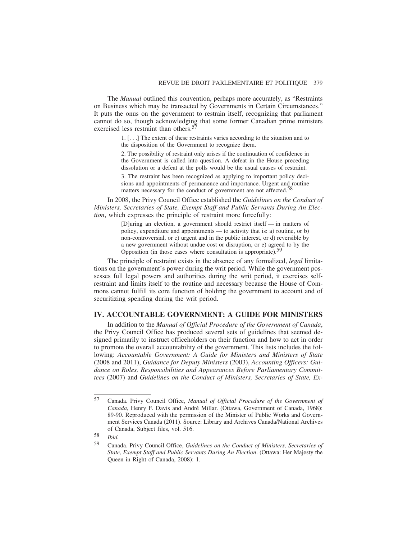The *Manual* outlined this convention, perhaps more accurately, as "Restraints on Business which may be transacted by Governments in Certain Circumstances." It puts the onus on the government to restrain itself, recognizing that parliament cannot do so, though acknowledging that some former Canadian prime ministers exercised less restraint than others.<sup>5</sup>

> 1. [. . .] The extent of these restraints varies according to the situation and to the disposition of the Government to recognize them.

> 2. The possibility of restraint only arises if the continuation of confidence in the Government is called into question. A defeat in the House preceding dissolution or a defeat at the polls would be the usual causes of restraint.

> 3. The restraint has been recognized as applying to important policy decisions and appointments of permanence and importance. Urgent and routine matters necessary for the conduct of government are not affected.<sup>58</sup>

In 2008, the Privy Council Office established the *Guidelines on the Conduct of Ministers, Secretaries of State, Exempt Staff and Public Servants During An Election*, which expresses the principle of restraint more forcefully:

> [D]uring an election, a government should restrict itself — in matters of policy, expenditure and appointments — to activity that is: a) routine, or b) non-controversial, or c) urgent and in the public interest, or d) reversible by a new government without undue cost or disruption, or e) agreed to by the Opposition (in those cases where consultation is appropriate).<sup>5</sup>

The principle of restraint exists in the absence of any formalized, *legal* limitations on the government's power during the writ period. While the government possesses full legal powers and authorities during the writ period, it exercises selfrestraint and limits itself to the routine and necessary because the House of Commons cannot fulfill its core function of holding the government to account and of securitizing spending during the writ period.

### **IV. ACCOUNTABLE GOVERNMENT: A GUIDE FOR MINISTERS**

In addition to the *Manual of Official Procedure of the Government of Canada*, the Privy Council Office has produced several sets of guidelines that seemed designed primarily to instruct officeholders on their function and how to act in order to promote the overall accountability of the government. This lists includes the following: *Accountable Government: A Guide for Ministers and Ministers of State* (2008 and 2011), *Guidance for Deputy Ministers* (2003), *Accounting Officers: Guidance on Roles, Responsibilities and Appearances Before Parliamentary Committees* (2007) and *Guidelines on the Conduct of Ministers, Secretaries of State, Ex-*

58 *Ibid.*

<sup>57</sup> Canada. Privy Council Office, *Manual of Official Procedure of the Government of Canada*, Henry F. Davis and André Millar. (Ottawa, Government of Canada, 1968): 89-90. Reproduced with the permission of the Minister of Public Works and Government Services Canada (2011). Source: Library and Archives Canada/National Archives of Canada, Subject files, vol. 516.

<sup>59</sup> Canada. Privy Council Office, *Guidelines on the Conduct of Ministers, Secretaries of State, Exempt Staff and Public Servants During An Election*. (Ottawa: Her Majesty the Queen in Right of Canada, 2008): 1.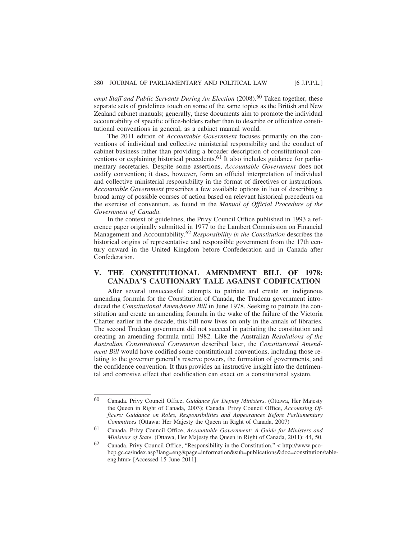empt Staff and Public Servants During An Election (2008).<sup>60</sup> Taken together, these separate sets of guidelines touch on some of the same topics as the British and New Zealand cabinet manuals; generally, these documents aim to promote the individual accountability of specific office-holders rather than to describe or officialize constitutional conventions in general, as a cabinet manual would.

The 2011 edition of *Accountable Government* focuses primarily on the conventions of individual and collective ministerial responsibility and the conduct of cabinet business rather than providing a broader description of constitutional conventions or explaining historical precedents.<sup>61</sup> It also includes guidance for parliamentary secretaries. Despite some assertions, *Accountable Government* does not codify convention; it does, however, form an official interpretation of individual and collective ministerial responsibility in the format of directives or instructions. *Accountable Government* prescribes a few available options in lieu of describing a broad array of possible courses of action based on relevant historical precedents on the exercise of convention, as found in the *Manual of Official Procedure of the Government of Canada*.

In the context of guidelines, the Privy Council Office published in 1993 a reference paper originally submitted in 1977 to the Lambert Commission on Financial Management and Accountability.62 *Responsibility in the Constitution* describes the historical origins of representative and responsible government from the 17th century onward in the United Kingdom before Confederation and in Canada after Confederation.

# **V. THE CONSTITUTIONAL AMENDMENT BILL OF 1978: CANADA'S CAUTIONARY TALE AGAINST CODIFICATION**

After several unsuccessful attempts to patriate and create an indigenous amending formula for the Constitution of Canada, the Trudeau government introduced the *Constitutional Amendment Bill* in June 1978. Seeking to patriate the constitution and create an amending formula in the wake of the failure of the Victoria Charter earlier in the decade, this bill now lives on only in the annals of libraries. The second Trudeau government did not succeed in patriating the constitution and creating an amending formula until 1982. Like the Australian *Resolutions of the Australian Constitutional Convention* described later, the *Constitutional Amendment Bill* would have codified some constitutional conventions, including those relating to the governor general's reserve powers, the formation of governments, and the confidence convention. It thus provides an instructive insight into the detrimental and corrosive effect that codification can exact on a constitutional system.

<sup>60</sup> Canada. Privy Council Office, *Guidance for Deputy Ministers*. (Ottawa, Her Majesty the Queen in Right of Canada, 2003); Canada. Privy Council Office, *Accounting Officers: Guidance on Roles, Responsibilities and Appearances Before Parliamentary Committees* (Ottawa: Her Majesty the Queen in Right of Canada, 2007)

<sup>61</sup> Canada. Privy Council Office, *Accountable Government: A Guide for Ministers and Ministers of State*. (Ottawa, Her Majesty the Queen in Right of Canada, 2011): 44, 50.

<sup>62</sup> Canada. Privy Council Office, "Responsibility in the Constitution." < http://www.pcobcp.gc.ca/index.asp?lang=eng&page=information&sub=publications&doc=constitution/tableeng.htm> [Accessed 15 June 2011].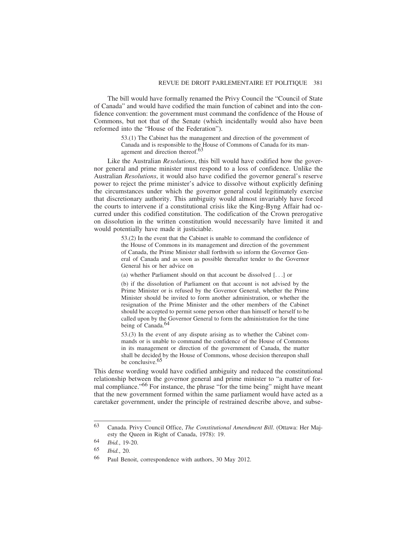The bill would have formally renamed the Privy Council the "Council of State of Canada" and would have codified the main function of cabinet and into the confidence convention: the government must command the confidence of the House of Commons, but not that of the Senate (which incidentally would also have been reformed into the "House of the Federation").

> 53.(1) The Cabinet has the management and direction of the government of Canada and is responsible to the House of Commons of Canada for its management and direction thereof.<sup>63</sup>

Like the Australian *Resolutions*, this bill would have codified how the governor general and prime minister must respond to a loss of confidence. Unlike the Australian *Resolutions*, it would also have codified the governor general's reserve power to reject the prime minister's advice to dissolve without explicitly defining the circumstances under which the governor general could legitimately exercise that discretionary authority. This ambiguity would almost invariably have forced the courts to intervene if a constitutional crisis like the King-Byng Affair had occurred under this codified constitution. The codification of the Crown prerogative on dissolution in the written constitution would necessarily have limited it and would potentially have made it justiciable.

> 53.(2) In the event that the Cabinet is unable to command the confidence of the House of Commons in its management and direction of the government of Canada, the Prime Minister shall forthwith so inform the Governor General of Canada and as soon as possible thereafter tender to the Governor General his or her advice on

(a) whether Parliament should on that account be dissolved [. . .] or

(b) if the dissolution of Parliament on that account is not advised by the Prime Minister or is refused by the Governor General, whether the Prime Minister should be invited to form another administration, or whether the resignation of the Prime Minister and the other members of the Cabinet should be accepted to permit some person other than himself or herself to be called upon by the Governor General to form the administration for the time being of Canada.<sup>64</sup>

53.(3) In the event of any dispute arising as to whether the Cabinet commands or is unable to command the confidence of the House of Commons in its management or direction of the government of Canada, the matter shall be decided by the House of Commons, whose decision thereupon shall be conclusive.<sup>65</sup>

This dense wording would have codified ambiguity and reduced the constitutional relationship between the governor general and prime minister to "a matter of formal compliance."66 For instance, the phrase "for the time being" might have meant that the new government formed within the same parliament would have acted as a caretaker government, under the principle of restrained describe above, and subse-

<sup>63</sup> Canada. Privy Council Office, *The Constitutional Amendment Bill*. (Ottawa: Her Majesty the Queen in Right of Canada, 1978): 19.

<sup>64</sup> *Ibid.*, 19-20.

<sup>65</sup> *Ibid.*, 20.

<sup>66</sup> Paul Benoit, correspondence with authors, 30 May 2012.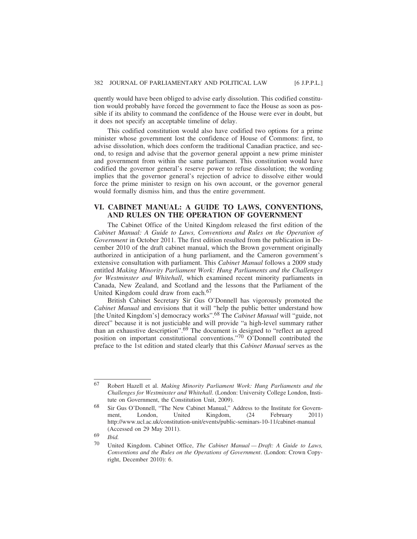quently would have been obliged to advise early dissolution. This codified constitution would probably have forced the government to face the House as soon as possible if its ability to command the confidence of the House were ever in doubt, but it does not specify an acceptable timeline of delay.

This codified constitution would also have codified two options for a prime minister whose government lost the confidence of House of Commons: first, to advise dissolution, which does conform the traditional Canadian practice, and second, to resign and advise that the governor general appoint a new prime minister and government from within the same parliament. This constitution would have codified the governor general's reserve power to refuse dissolution; the wording implies that the governor general's rejection of advice to dissolve either would force the prime minister to resign on his own account, or the governor general would formally dismiss him, and thus the entire government.

# **VI. CABINET MANUAL: A GUIDE TO LAWS, CONVENTIONS, AND RULES ON THE OPERATION OF GOVERNMENT**

The Cabinet Office of the United Kingdom released the first edition of the *Cabinet Manual: A Guide to Laws, Conventions and Rules on the Operation of Government* in October 2011. The first edition resulted from the publication in December 2010 of the draft cabinet manual, which the Brown government originally authorized in anticipation of a hung parliament, and the Cameron government's extensive consultation with parliament. This *Cabinet Manual* follows a 2009 study entitled *Making Minority Parliament Work: Hung Parliaments and the Challenges for Westminster and Whitehall*, which examined recent minority parliaments in Canada, New Zealand, and Scotland and the lessons that the Parliament of the United Kingdom could draw from each.<sup>67</sup>

British Cabinet Secretary Sir Gus O'Donnell has vigorously promoted the *Cabinet Manual* and envisions that it will "help the public better understand how [the United Kingdom's] democracy works".68 The *Cabinet Manual* will "guide, not direct" because it is not justiciable and will provide "a high-level summary rather than an exhaustive description".69 The document is designed to "reflect an agreed position on important constitutional conventions."70 O'Donnell contributed the preface to the 1st edition and stated clearly that this *Cabinet Manual* serves as the

69 *Ibid.*

<sup>67</sup> Robert Hazell et al. *Making Minority Parliament Work: Hung Parliaments and the Challenges for Westminster and Whitehall*. (London: University College London, Institute on Government, the Constitution Unit, 2009).

<sup>68</sup> Sir Gus O'Donnell, "The New Cabinet Manual," Address to the Institute for Government, London, United Kingdom, (24 February 2011) http://www.ucl.ac.uk/constitution-unit/events/public-seminars-10-11/cabinet-manual (Accessed on 29 May 2011).

<sup>70</sup> United Kingdom. Cabinet Office, *The Cabinet Manual — Draft: A Guide to Laws, Conventions and the Rules on the Operations of Government*. (London: Crown Copyright, December 2010): 6.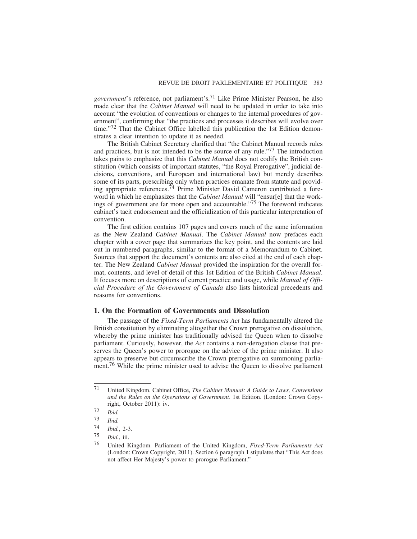*government*'s reference, not parliament's.71 Like Prime Minister Pearson, he also made clear that the *Cabinet Manual* will need to be updated in order to take into account "the evolution of conventions or changes to the internal procedures of government", confirming that "the practices and processes it describes will evolve over time."72 That the Cabinet Office labelled this publication the 1st Edition demonstrates a clear intention to update it as needed.

The British Cabinet Secretary clarified that "the Cabinet Manual records rules and practices, but is not intended to be the source of any rule."<sup>73</sup> The introduction takes pains to emphasize that this *Cabinet Manual* does not codify the British constitution (which consists of important statutes, "the Royal Prerogative", judicial decisions, conventions, and European and international law) but merely describes some of its parts, prescribing only when practices emanate from statute and providing appropriate references.74 Prime Minister David Cameron contributed a foreword in which he emphasizes that the *Cabinet Manual* will "ensur[e] that the workings of government are far more open and accountable."75 The foreword indicates cabinet's tacit endorsement and the officialization of this particular interpretation of convention.

The first edition contains 107 pages and covers much of the same information as the New Zealand *Cabinet Manual*. The *Cabinet Manual* now prefaces each chapter with a cover page that summarizes the key point, and the contents are laid out in numbered paragraphs, similar to the format of a Memorandum to Cabinet. Sources that support the document's contents are also cited at the end of each chapter. The New Zealand *Cabinet Manual* provided the inspiration for the overall format, contents, and level of detail of this 1st Edition of the British *Cabinet Manual*. It focuses more on descriptions of current practice and usage, while *Manual of Official Procedure of the Government of Canada* also lists historical precedents and reasons for conventions.

### **1. On the Formation of Governments and Dissolution**

The passage of the *Fixed-Term Parliaments Act* has fundamentally altered the British constitution by eliminating altogether the Crown prerogative on dissolution, whereby the prime minister has traditionally advised the Queen when to dissolve parliament. Curiously, however, the *Act* contains a non-derogation clause that preserves the Queen's power to prorogue on the advice of the prime minister. It also appears to preserve but circumscribe the Crown prerogative on summoning parliament.<sup>76</sup> While the prime minister used to advise the Queen to dissolve parliament

<sup>71</sup> United Kingdom. Cabinet Office, *The Cabinet Manual: A Guide to Laws, Conventions and the Rules on the Operations of Government*. 1st Edition. (London: Crown Copyright, October 2011): iv.

<sup>72</sup> *Ibid.*

<sup>73</sup> *Ibid.*

<sup>74</sup> *Ibid.*, 2-3.

<sup>75</sup> *Ibid.*, iii.

<sup>76</sup> United Kingdom. Parliament of the United Kingdom, *Fixed-Term Parliaments Act* (London: Crown Copyright, 2011). Section 6 paragraph 1 stipulates that "This Act does not affect Her Majesty's power to prorogue Parliament."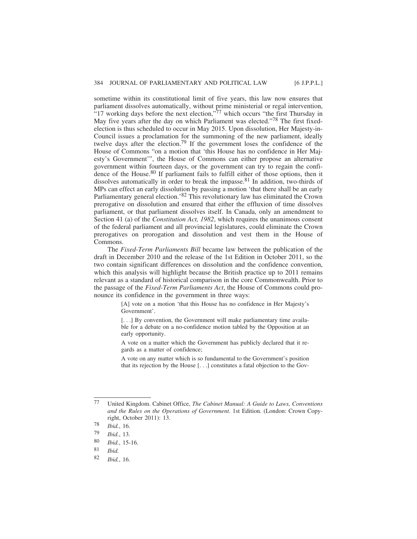sometime within its constitutional limit of five years, this law now ensures that parliament dissolves automatically, without prime ministerial or regal intervention, "17 working days before the next election,"<sup>77</sup> which occurs "the first Thursday in May five years after the day on which Parliament was elected."<sup>78</sup> The first fixedelection is thus scheduled to occur in May 2015. Upon dissolution, Her Majesty-in-Council issues a proclamation for the summoning of the new parliament, ideally twelve days after the election.79 If the government loses the confidence of the House of Commons "on a motion that 'this House has no confidence in Her Majesty's Government'", the House of Commons can either propose an alternative government within fourteen days, or the government can try to regain the confidence of the House.<sup>80</sup> If parliament fails to fulfill either of those options, then it dissolves automatically in order to break the impasse.<sup>81</sup> In addition, two-thirds of MPs can effect an early dissolution by passing a motion 'that there shall be an early Parliamentary general election.'82 This revolutionary law has eliminated the Crown prerogative on dissolution and ensured that either the effluxion of time dissolves parliament, or that parliament dissolves itself. In Canada, only an amendment to Section 41 (a) of the *Constitution Act, 1982*, which requires the unanimous consent of the federal parliament and all provincial legislatures, could eliminate the Crown prerogatives on prorogation and dissolution and vest them in the House of Commons.

The *Fixed-Term Parliaments Bill* became law between the publication of the draft in December 2010 and the release of the 1st Edition in October 2011, so the two contain significant differences on dissolution and the confidence convention, which this analysis will highlight because the British practice up to 2011 remains relevant as a standard of historical comparison in the core Commonwealth. Prior to the passage of the *Fixed-Term Parliaments Act*, the House of Commons could pronounce its confidence in the government in three ways:

> [A] vote on a motion 'that this House has no confidence in Her Majesty's Government'.

> [...] By convention, the Government will make parliamentary time available for a debate on a no-confidence motion tabled by the Opposition at an early opportunity.

> A vote on a matter which the Government has publicly declared that it regards as a matter of confidence;

> A vote on any matter which is so fundamental to the Government's position that its rejection by the House [. . .] constitutes a fatal objection to the Gov-

<sup>77</sup> United Kingdom. Cabinet Office, *The Cabinet Manual: A Guide to Laws, Conventions and the Rules on the Operations of Government*. 1st Edition. (London: Crown Copyright, October 2011): 13.

<sup>78</sup> *Ibid.*, 16.

<sup>79</sup> *Ibid.*, 13.

<sup>80</sup> *Ibid.*, 15-16.

Ibid.

<sup>82</sup> *Ibid.*, 16.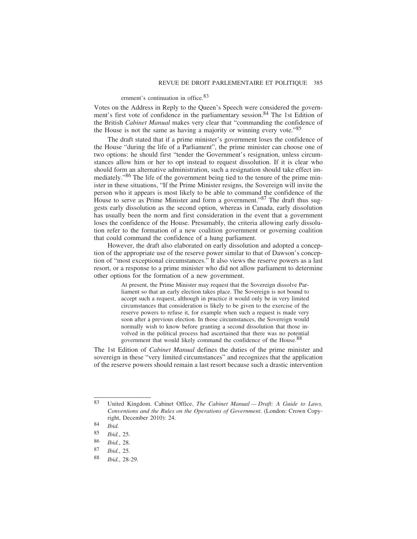### ernment's continuation in office.83

Votes on the Address in Reply to the Queen's Speech were considered the government's first vote of confidence in the parliamentary session.<sup>84</sup> The 1st Edition of the British *Cabinet Manual* makes very clear that "commanding the confidence of the House is not the same as having a majority or winning every vote.<sup>85</sup>

The draft stated that if a prime minister's government loses the confidence of the House "during the life of a Parliament", the prime minister can choose one of two options: he should first "tender the Government's resignation, unless circumstances allow him or her to opt instead to request dissolution. If it is clear who should form an alternative administration, such a resignation should take effect immediately."86 The life of the government being tied to the tenure of the prime minister in these situations, "If the Prime Minister resigns, the Sovereign will invite the person who it appears is most likely to be able to command the confidence of the House to serve as Prime Minister and form a government."<sup>87</sup> The draft thus suggests early dissolution as the second option, whereas in Canada, early dissolution has usually been the norm and first consideration in the event that a government loses the confidence of the House. Presumably, the criteria allowing early dissolution refer to the formation of a new coalition government or governing coalition that could command the confidence of a hung parliament.

However, the draft also elaborated on early dissolution and adopted a conception of the appropriate use of the reserve power similar to that of Dawson's conception of "most exceptional circumstances." It also views the reserve powers as a last resort, or a response to a prime minister who did not allow parliament to determine other options for the formation of a new government.

> At present, the Prime Minister may request that the Sovereign dissolve Parliament so that an early election takes place. The Sovereign is not bound to accept such a request, although in practice it would only be in very limited circumstances that consideration is likely to be given to the exercise of the reserve powers to refuse it, for example when such a request is made very soon after a previous election. In those circumstances, the Sovereign would normally wish to know before granting a second dissolution that those involved in the political process had ascertained that there was no potential government that would likely command the confidence of the House.88

The 1st Edition of *Cabinet Manual* defines the duties of the prime minister and sovereign in these "very limited circumstances" and recognizes that the application of the reserve powers should remain a last resort because such a drastic intervention

<sup>83</sup> United Kingdom. Cabinet Office, *The Cabinet Manual — Draft: A Guide to Laws, Conventions and the Rules on the Operations of Government*. (London: Crown Copyright, December 2010): 24.

<sup>84</sup> *Ibid.*

<sup>85</sup> *Ibid.*, 25.

<sup>86</sup> *Ibid.*, 28.

<sup>87</sup> *Ibid.*, 25.

<sup>88</sup> *Ibid.*, 28-29.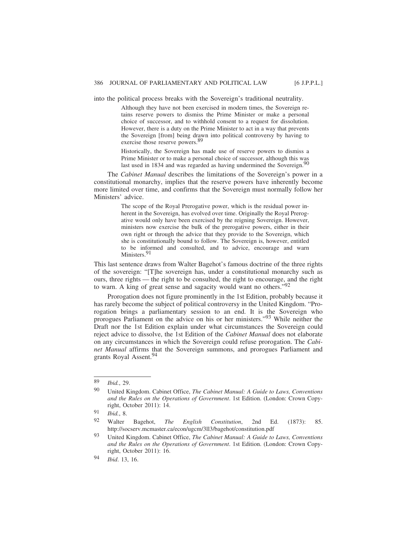into the political process breaks with the Sovereign's traditional neutrality.

Although they have not been exercised in modern times, the Sovereign retains reserve powers to dismiss the Prime Minister or make a personal choice of successor, and to withhold consent to a request for dissolution. However, there is a duty on the Prime Minister to act in a way that prevents the Sovereign [from] being drawn into political controversy by having to exercise those reserve powers.<sup>89</sup>

Historically, the Sovereign has made use of reserve powers to dismiss a Prime Minister or to make a personal choice of successor, although this was last used in 1834 and was regarded as having undermined the Sovereign.<sup>90</sup>

The *Cabinet Manual* describes the limitations of the Sovereign's power in a constitutional monarchy, implies that the reserve powers have inherently become more limited over time, and confirms that the Sovereign must normally follow her Ministers' advice.

> The scope of the Royal Prerogative power, which is the residual power inherent in the Sovereign, has evolved over time. Originally the Royal Prerogative would only have been exercised by the reigning Sovereign. However, ministers now exercise the bulk of the prerogative powers, either in their own right or through the advice that they provide to the Sovereign, which she is constitutionally bound to follow. The Sovereign is, however, entitled to be informed and consulted, and to advice, encourage and warn Ministers.<sup>91</sup>

This last sentence draws from Walter Bagehot's famous doctrine of the three rights of the sovereign: "[T]he sovereign has, under a constitutional monarchy such as ours, three rights — the right to be consulted, the right to encourage, and the right to warn. A king of great sense and sagacity would want no others."92

Prorogation does not figure prominently in the 1st Edition, probably because it has rarely become the subject of political controversy in the United Kingdom. "Prorogation brings a parliamentary session to an end. It is the Sovereign who prorogues Parliament on the advice on his or her ministers."93 While neither the Draft nor the 1st Edition explain under what circumstances the Sovereign could reject advice to dissolve, the 1st Edition of the *Cabinet Manual* does not elaborate on any circumstances in which the Sovereign could refuse prorogation. The *Cabinet Manual* affirms that the Sovereign summons, and prorogues Parliament and grants Royal Assent.<sup>94</sup>

<sup>89</sup> *Ibid.*, 29.

<sup>90</sup> United Kingdom. Cabinet Office, *The Cabinet Manual: A Guide to Laws, Conventions and the Rules on the Operations of Government*. 1st Edition. (London: Crown Copyright, October 2011): 14.

<sup>91</sup> *Ibid.*, 8.

<sup>92</sup> Walter Bagehot, *The English Constitution*, 2nd Ed. (1873): 85. http://socserv.mcmaster.ca/econ/ugcm/3ll3/bagehot/constitution.pdf

<sup>93</sup> United Kingdom. Cabinet Office, *The Cabinet Manual: A Guide to Laws, Conventions and the Rules on the Operations of Government*. 1st Edition. (London: Crown Copyright, October 2011): 16.

<sup>94</sup> *Ibid*. 13, 16.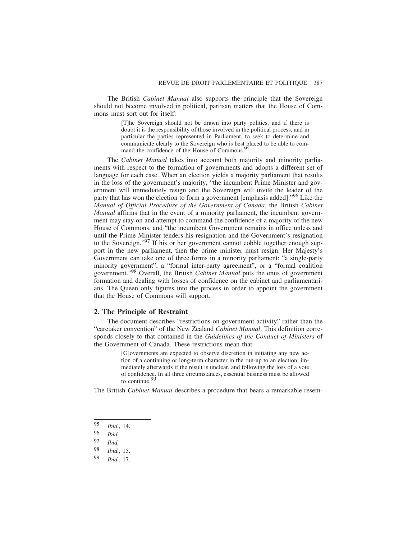The British *Cabinet Manual* also supports the principle that the Sovereign should not become involved in political, partisan matters that the House of Commons must sort out for itself:

> [T]he Sovereign should not be drawn into party politics, and if there is doubt it is the responsibility of those involved in the political process, and in particular the parties represented in Parliament, to seek to determine and communicate clearly to the Sovereign who is best placed to be able to command the confidence of the House of Commons.<sup>95</sup>

The *Cabinet Manual* takes into account both majority and minority parliaments with respect to the formation of governments and adopts a different set of language for each case. When an election yields a majority parliament that results in the loss of the government's majority, "the incumbent Prime Minister and government will immediately resign and the Sovereign will invite the leader of the party that has won the election to form a government [emphasis added]."<sup>96</sup> Like the *Manual of Official Procedure of the Government of Canada*, the British *Cabinet Manual* affirms that in the event of a minority parliament, the incumbent government may stay on and attempt to command the confidence of a majority of the new House of Commons, and "the incumbent Government remains in office unless and until the Prime Minister tenders his resignation and the Government's resignation to the Sovereign."<sup>97</sup> If his or her government cannot cobble together enough support in the new parliament, then the prime minister must resign. Her Majesty's Government can take one of three forms in a minority parliament: "a single-party minority government", a "formal inter-party agreement", or a "formal coalition government."98 Overall, the British *Cabinet Manual* puts the onus of government formation and dealing with losses of confidence on the cabinet and parliamentarians. The Queen only figures into the process in order to appoint the government that the House of Commons will support.

#### **2. The Principle of Restraint**

The document describes "restrictions on government activity" rather than the "caretaker convention" of the New Zealand *Cabinet Manual*. This definition corresponds closely to that contained in the *Guidelines of the Conduct of Ministers* of the Government of Canada. These restrictions mean that

> [G]overnments are expected to observe discretion in initiating any new action of a continuing or long-term character in the run-up to an election, immediately afterwards if the result is unclear, and following the loss of a vote of confidence. In all three circumstances, essential business must be allowed to continue.<sup>9</sup>

The British *Cabinet Manual* describes a procedure that bears a remarkable resem-

<sup>95</sup> *Ibid.*, 14.

<sup>96</sup> *Ibid.*

<sup>97</sup> *Ibid. Ibid.*, 15.

<sup>99</sup> *Ibid.*, 17.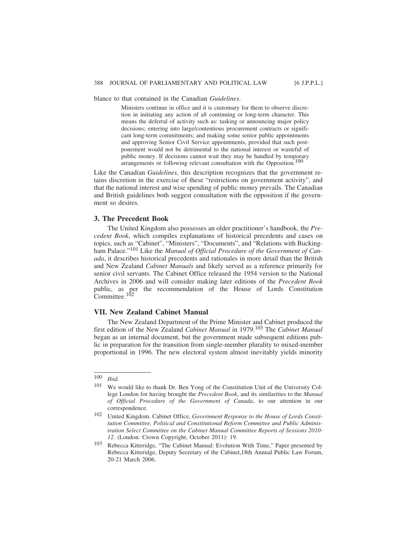blance to that contained in the Canadian *Guidelines*.

Ministers continue in office and it is customary for them to observe discretion in initiating any action of a8 continuing or long-term character. This means the deferral of activity such as: tasking or announcing major policy decisions; entering into large/contentious procurement contracts or significant long-term commitments; and making some senior public appointments and approving Senior Civil Service appointments, provided that such postponement would not be detrimental to the national interest or wasteful of public money. If decisions cannot wait they may be handled by temporary arrangements or following relevant consultation with the Opposition.<sup>100</sup>

Like the Canadian *Guidelines*, this description recognizes that the government retains discretion in the exercise of these "restrictions on government activity", and that the national interest and wise spending of public money prevails. The Canadian and British guidelines both suggest consultation with the opposition if the government so desires.

#### **3. The Precedent Book**

The United Kingdom also possesses an older practitioner's handbook, the *Precedent Book*, which compiles explanations of historical precedents and cases on topics, such as "Cabinet", "Ministers", "Documents", and "Relations with Buckingham Palace."101 Like the *Manual of Official Procedure of the Government of Canada*, it describes historical precedents and rationales in more detail than the British and New Zealand *Cabinet Manuals* and likely served as a reference primarily for senior civil servants. The Cabinet Office released the 1954 version to the National Archives in 2006 and will consider making later editions of the *Precedent Book* public, as per the recommendation of the House of Lords Constitution Committee.<sup>102</sup>

#### **VII. New Zealand Cabinet Manual**

The New Zealand Department of the Prime Minister and Cabinet produced the first edition of the New Zealand *Cabinet Manual* in 1979.103 The *Cabinet Manual* began as an internal document, but the government made subsequent editions public in preparation for the transition from single-member plurality to mixed-member proportional in 1996. The new electoral system almost inevitably yields minority

<sup>100</sup> *Ibid.*

<sup>101</sup> We would like to thank Dr. Ben Yong of the Constitution Unit of the University College London for having brought the *Precedent Book*, and its similarities to the *Manual of Official Procedure of the Government of Canada*, to our attention in our correspondence.

<sup>102</sup> United Kingdom. Cabinet Office, *Government Response to the House of Lords Constitution Committee, Political and Constitutional Reform Committee and Public Administration Select Committee on the Cabinet Manual Committee Reports of Sessions 2010- 12*. (London: Crown Copyright, October 2011): 19.

<sup>103</sup> Rebecca Kitteridge, "The Cabinet Manual: Evolution With Time," Paper presented by Rebecca Kitteridge, Deputy Secretary of the Cabinet,18th Annual Public Law Forum, 20-21 March 2006.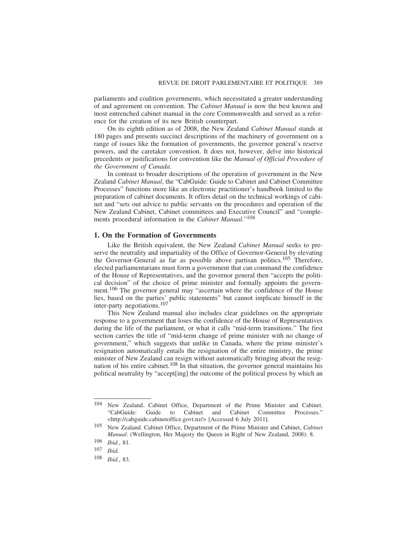parliaments and coalition governments, which necessitated a greater understanding of and agreement on convention. The *Cabinet Manual* is now the best known and most entrenched cabinet manual in the core Commonwealth and served as a reference for the creation of its new British counterpart.

On its eighth edition as of 2008, the New Zealand *Cabinet Manual* stands at 180 pages and presents succinct descriptions of the machinery of government on a range of issues like the formation of governments, the governor general's reserve powers, and the caretaker convention. It does not, however, delve into historical precedents or justifications for convention like the *Manual of Official Procedure of the Government of Canada*.

In contrast to broader descriptions of the operation of government in the New Zealand *Cabinet Manual*, the "CabGuide: Guide to Cabinet and Cabinet Committee Processes" functions more like an electronic practitioner's handbook limited to the preparation of cabinet documents. It offers detail on the technical workings of cabinet and "sets out advice to public servants on the procedures and operation of the New Zealand Cabinet, Cabinet committees and Executive Council" and "complements procedural information in the *Cabinet Manual*."104

### **1. On the Formation of Governments**

Like the British equivalent, the New Zealand *Cabinet Manual* seeks to preserve the neutrality and impartiality of the Office of Governor-General by elevating the Governor-General as far as possible above partisan politics.105 Therefore, elected parliamentarians must form a government that can command the confidence of the House of Representatives, and the governor general then "accepts the political decision" of the choice of prime minister and formally appoints the government.106 The governor general may "ascertain where the confidence of the House lies, based on the parties' public statements" but cannot implicate himself in the inter-party negotiations.107

This New Zealand manual also includes clear guidelines on the appropriate response to a government that loses the confidence of the House of Representatives during the life of the parliament, or what it calls "mid-term transitions." The first section carries the title of "mid-term change of prime minister with no change of government," which suggests that unlike in Canada, where the prime minister's resignation automatically entails the resignation of the entire ministry, the prime minister of New Zealand can resign without automatically bringing about the resignation of his entire cabinet.108 In that situation, the governor general maintains his political neutrality by "accept[ing] the outcome of the political process by which an

<sup>104</sup> New Zealand. Cabinet Office, Department of the Prime Minister and Cabinet. "CabGuide: Guide to Cabinet and Cabinet Committee Processes." <http://cabguide.cabinetoffice.govt.nz/> [Accessed 6 July 2011].

<sup>105</sup> New Zealand. Cabinet Office, Department of the Prime Minister and Cabinet, *Cabinet Manual*. (Wellington, Her Majesty the Queen in Right of New Zealand, 2008): 8.

<sup>106</sup> *Ibid.*, 81.

<sup>107</sup> *Ibid.*

<sup>108</sup> *Ibid.*, 83.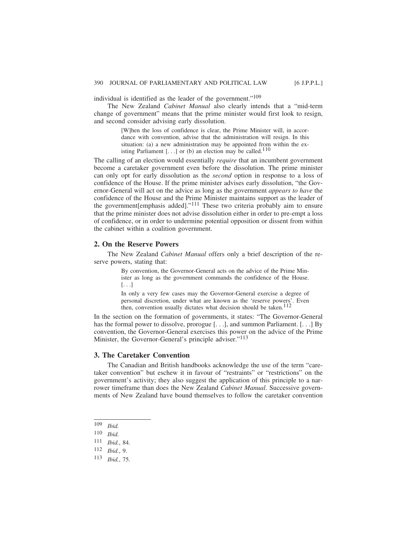individual is identified as the leader of the government."<sup>109</sup>

The New Zealand *Cabinet Manual* also clearly intends that a "mid-term change of government" means that the prime minister would first look to resign, and second consider advising early dissolution.

> [W]hen the loss of confidence is clear, the Prime Minister will, in accordance with convention, advise that the administration will resign. In this situation: (a) a new administration may be appointed from within the existing Parliament  $[...]$  or (b) an election may be called.<sup>110</sup>

The calling of an election would essentially *require* that an incumbent government become a caretaker government even before the dissolution. The prime minister can only opt for early dissolution as the *second* option in response to a loss of confidence of the House. If the prime minister advises early dissolution, "the Governor-General will act on the advice as long as the government *appears to have* the confidence of the House and the Prime Minister maintains support as the leader of the government[emphasis added]."111 These two criteria probably aim to ensure that the prime minister does not advise dissolution either in order to pre-empt a loss of confidence, or in order to undermine potential opposition or dissent from within the cabinet within a coalition government.

#### **2. On the Reserve Powers**

The New Zealand *Cabinet Manual* offers only a brief description of the reserve powers, stating that:

> By convention, the Governor-General acts on the advice of the Prime Minister as long as the government commands the confidence of the House. [. . .]

> In only a very few cases may the Governor-General exercise a degree of personal discretion, under what are known as the 'reserve powers'. Even then, convention usually dictates what decision should be taken.<sup>112</sup>

In the section on the formation of governments, it states: "The Governor-General has the formal power to dissolve, prorogue [. . .], and summon Parliament. [. . .] By convention, the Governor-General exercises this power on the advice of the Prime Minister, the Governor-General's principle adviser."<sup>113</sup>

#### **3. The Caretaker Convention**

The Canadian and British handbooks acknowledge the use of the term "caretaker convention" but eschew it in favour of "restraints" or "restrictions" on the government's activity; they also suggest the application of this principle to a narrower timeframe than does the New Zealand *Cabinet Manual*. Successive governments of New Zealand have bound themselves to follow the caretaker convention

<sup>109</sup> *Ibid.*

<sup>110</sup> *Ibid.*

<sup>111</sup> *Ibid.*, 84.

<sup>112</sup> *Ibid.*, 9.

<sup>113</sup> *Ibid.*, 75.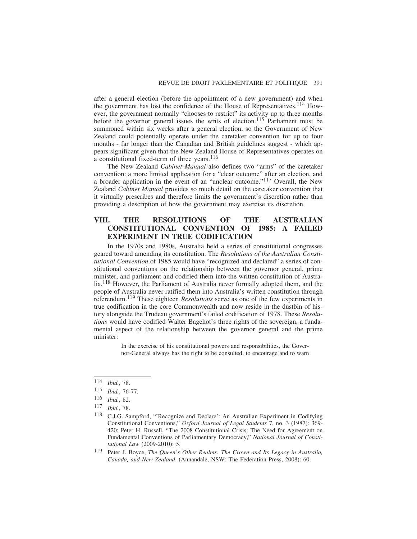after a general election (before the appointment of a new government) and when the government has lost the confidence of the House of Representatives.<sup>114</sup> However, the government normally "chooses to restrict" its activity up to three months before the governor general issues the writs of election.<sup>115</sup> Parliament must be summoned within six weeks after a general election, so the Government of New Zealand could potentially operate under the caretaker convention for up to four months - far longer than the Canadian and British guidelines suggest - which appears significant given that the New Zealand House of Representatives operates on a constitutional fixed-term of three years.<sup>116</sup>

The New Zealand *Cabinet Manual* also defines two "arms" of the caretaker convention: a more limited application for a "clear outcome" after an election, and a broader application in the event of an "unclear outcome."117 Overall, the New Zealand *Cabinet Manual* provides so much detail on the caretaker convention that it virtually prescribes and therefore limits the government's discretion rather than providing a description of how the government may exercise its discretion.

# **VIII. THE RESOLUTIONS OF THE AUSTRALIAN CONSTITUTIONAL CONVENTION OF 1985: A FAILED EXPERIMENT IN TRUE CODIFICATION**

In the 1970s and 1980s, Australia held a series of constitutional congresses geared toward amending its constitution. The *Resolutions of the Australian Constitutional Convention* of 1985 would have "recognized and declared" a series of constitutional conventions on the relationship between the governor general, prime minister, and parliament and codified them into the written constitution of Australia.118 However, the Parliament of Australia never formally adopted them, and the people of Australia never ratified them into Australia's written constitution through referendum.119 These eighteen *Resolutions* serve as one of the few experiments in true codification in the core Commonwealth and now reside in the dustbin of history alongside the Trudeau government's failed codification of 1978. These *Resolutions* would have codified Walter Bagehot's three rights of the sovereign, a fundamental aspect of the relationship between the governor general and the prime minister:

> In the exercise of his constitutional powers and responsibilities, the Governor-General always has the right to be consulted, to encourage and to warn

<sup>114</sup> *Ibid.*, 78.

<sup>115</sup> *Ibid.*, 76-77.

<sup>116</sup> *Ibid.*, 82.

*Ibid.*, 78.

<sup>118</sup> C.J.G. Sampford, "'Recognize and Declare': An Australian Experiment in Codifying Constitutional Conventions," *Oxford Journal of Legal Students* 7, no. 3 (1987): 369- 420; Peter H. Russell, "The 2008 Constitutional Crisis: The Need for Agreement on Fundamental Conventions of Parliamentary Democracy," *National Journal of Constitutional Law* (2009-2010): 5.

<sup>119</sup> Peter J. Boyce, *The Queen's Other Realms: The Crown and Its Legacy in Australia, Canada, and New Zealand*. (Annandale, NSW: The Federation Press, 2008): 60.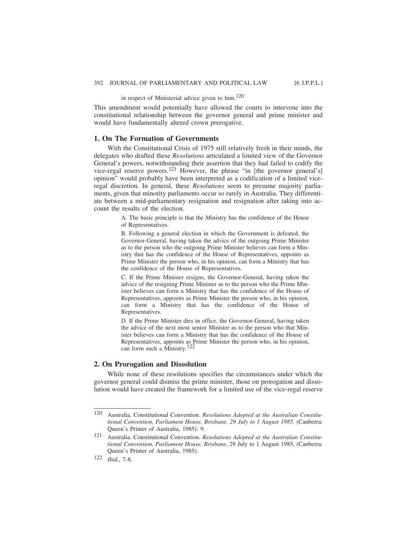in respect of Ministerial advice given to him.120

This amendment would potentially have allowed the courts to intervene into the constitutional relationship between the governor general and prime minister and would have fundamentally altered crown prerogative.

### **1. On The Formation of Governments**

With the Constitutional Crisis of 1975 still relatively fresh in their minds, the delegates who drafted these *Resolutions* articulated a limited view of the Governor General's powers, notwithstanding their assertion that they had failed to codify the vice-regal reserve powers.<sup>121</sup> However, the phrase "in [the governor general's] opinion" would probably have been interpreted as a codification of a limited viceregal discretion. In general, these *Resolutions* seem to presume majority parliaments, given that minority parliaments occur so rarely in Australia. They differentiate between a mid-parliamentary resignation and resignation after taking into account the results of the election.

> A. The basic principle is that the Ministry has the confidence of the House of Representatives.

> B. Following a general election in which the Government is defeated, the Governor-General, having taken the advice of the outgoing Prime Minister as to the person who the outgoing Prime Minister believes can form a Ministry that has the confidence of the House of Representatives, appoints as Prime Minister the person who, in his opinion, can form a Ministry that has the confidence of the House of Representatives.

> C. If the Prime Minister resigns, the Governor-General, having taken the advice of the resigning Prime Minister as to the person who the Prime Minister believes can form a Ministry that has the confidence of the House of Representatives, appoints as Prime Minister the person who, in his opinion, can form a Ministry that has the confidence of the House of Representatives.

> D. If the Prime Minister dies in office, the Governor-General, having taken the advice of the next most senior Minister as to the person who that Minister believes can form a Ministry that has the confidence of the House of Representatives, appoints as Prime Minister the person who, in his opinion, can form such a Ministry.122

#### **2. On Prorogation and Dissolution**

While none of these resolutions specifies the circumstances under which the governor general could dismiss the prime minister, those on prorogation and dissolution would have created the framework for a limited use of the vice-regal reserve

<sup>120</sup> Australia. Constitutional Convention. *Resolutions Adopted at the Australian Constitutional Convention, Parliament House, Brisbane, 29 July to 1 August 1985*. (Canberra: Queen's Printer of Australia, 1985): 9.

<sup>121</sup> Australia. Constitutional Convention. *Resolutions Adopted at the Australian Constitutional Convention, Parliament House, Brisbane*, 29 July to 1 August 1985. (Canberra: Queen's Printer of Australia, 1985).

<sup>122</sup> *Ibid.*, 7-8.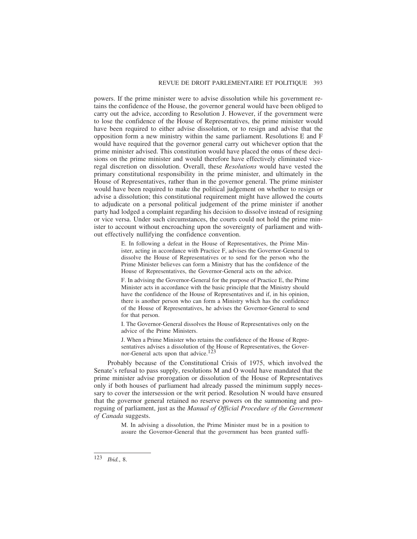powers. If the prime minister were to advise dissolution while his government retains the confidence of the House, the governor general would have been obliged to carry out the advice, according to Resolution J. However, if the government were to lose the confidence of the House of Representatives, the prime minister would have been required to either advise dissolution, or to resign and advise that the opposition form a new ministry within the same parliament. Resolutions E and F would have required that the governor general carry out whichever option that the prime minister advised. This constitution would have placed the onus of these decisions on the prime minister and would therefore have effectively eliminated viceregal discretion on dissolution. Overall, these *Resolutions* would have vested the primary constitutional responsibility in the prime minister, and ultimately in the House of Representatives, rather than in the governor general. The prime minister would have been required to make the political judgement on whether to resign or advise a dissolution; this constitutional requirement might have allowed the courts to adjudicate on a personal political judgement of the prime minister if another party had lodged a complaint regarding his decision to dissolve instead of resigning or vice versa. Under such circumstances, the courts could not hold the prime minister to account without encroaching upon the sovereignty of parliament and without effectively nullifying the confidence convention.

> E. In following a defeat in the House of Representatives, the Prime Minister, acting in accordance with Practice F, advises the Governor-General to dissolve the House of Representatives or to send for the person who the Prime Minister believes can form a Ministry that has the confidence of the House of Representatives, the Governor-General acts on the advice.

> F. In advising the Governor-General for the purpose of Practice E, the Prime Minister acts in accordance with the basic principle that the Ministry should have the confidence of the House of Representatives and if, in his opinion, there is another person who can form a Ministry which has the confidence of the House of Representatives, he advises the Governor-General to send for that person.

> I. The Governor-General dissolves the House of Representatives only on the advice of the Prime Ministers.

> J. When a Prime Minister who retains the confidence of the House of Representatives advises a dissolution of the House of Representatives, the Governor-General acts upon that advice.<sup>123</sup>

Probably because of the Constitutional Crisis of 1975, which involved the Senate's refusal to pass supply, resolutions M and O would have mandated that the prime minister advise prorogation or dissolution of the House of Representatives only if both houses of parliament had already passed the minimum supply necessary to cover the intersession or the writ period. Resolution N would have ensured that the governor general retained no reserve powers on the summoning and proroguing of parliament, just as the *Manual of Official Procedure of the Government of Canada* suggests.

> M. In advising a dissolution, the Prime Minister must be in a position to assure the Governor-General that the government has been granted suffi-

<sup>123</sup> *Ibid.*, 8.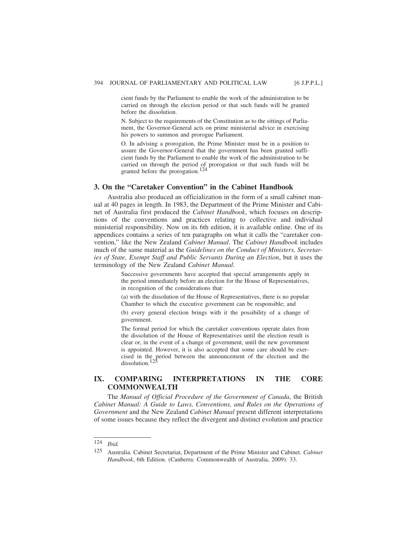cient funds by the Parliament to enable the work of the administration to be carried on through the election period or that such funds will be granted before the dissolution.

N. Subject to the requirements of the Constitution as to the sittings of Parliament, the Governor-General acts on prime ministerial advice in exercising his powers to summon and prorogue Parliament.

O. In advising a prorogation, the Prime Minister must be in a position to assure the Governor-General that the government has been granted sufficient funds by the Parliament to enable the work of the administration to be carried on through the period of prorogation or that such funds will be granted before the prorogation.124

### **3. On the "Caretaker Convention" in the Cabinet Handbook**

Australia also produced an officialization in the form of a small cabinet manual at 40 pages in length. In 1983, the Department of the Prime Minister and Cabinet of Australia first produced the *Cabinet Handbook*, which focuses on descriptions of the conventions and practices relating to collective and individual ministerial responsibility. Now on its 6th edition, it is available online. One of its appendices contains a series of ten paragraphs on what it calls the "caretaker convention," like the New Zealand *Cabinet Manual*. The *Cabinet Handbook* includes much of the same material as the *Guidelines on the Conduct of Ministers, Secretaries of State, Exempt Staff and Public Servants During an Election*, but it uses the terminology of the New Zealand *Cabinet Manual*.

> Successive governments have accepted that special arrangements apply in the period immediately before an election for the House of Representatives, in recognition of the considerations that:

> (a) with the dissolution of the House of Representatives, there is no popular Chamber to which the executive government can be responsible; and

> (b) every general election brings with it the possibility of a change of government.

> The formal period for which the caretaker conventions operate dates from the dissolution of the House of Representatives until the election result is clear or, in the event of a change of government, until the new government is appointed. However, it is also accepted that some care should be exercised in the period between the announcement of the election and the dissolution.125

# **IX. COMPARING INTERPRETATIONS IN THE CORE COMMONWEALTH**

The *Manual of Official Procedure of the Government of Canada*, the British *Cabinet Manual: A Guide to Laws, Conventions, and Rules on the Operations of Government* and the New Zealand *Cabinet Manual* present different interpretations of some issues because they reflect the divergent and distinct evolution and practice

<sup>124</sup> *Ibid.*

<sup>125</sup> Australia. Cabinet Secretariat, Department of the Prime Minister and Cabinet. *Cabinet Handbook*, 6th Edition. (Canberra: Commonwealth of Australia, 2009): 33.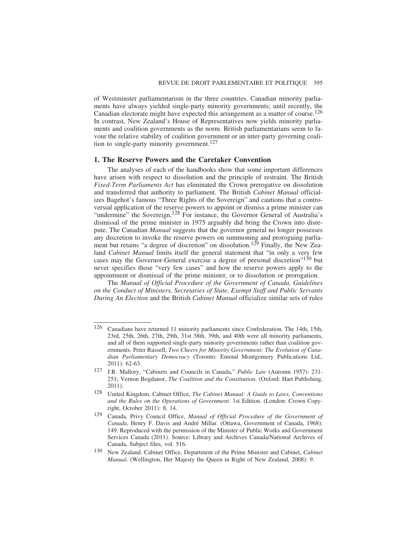of Westminster parliamentarism in the three countries. Canadian minority parliaments have always yielded single-party minority governments; until recently, the Canadian electorate might have expected this arrangement as a matter of course.<sup>126</sup> In contrast, New Zealand's House of Representatives now yields minority parliaments and coalition governments as the norm. British parliamentarians seem to favour the relative stability of coalition government or an inter-party governing coalition to single-party minority government.<sup>127</sup>

#### **1. The Reserve Powers and the Caretaker Convention**

The analyses of each of the handbooks show that some important differences have arisen with respect to dissolution and the principle of restraint. The British *Fixed-Term Parliaments Act* has eliminated the Crown prerogative on dissolution and transferred that authority to parliament. The British *Cabinet Manual* officializes Bagehot's famous "Three Rights of the Sovereign" and cautions that a controversial application of the reserve powers to appoint or dismiss a prime minister can "undermine" the Sovereign.<sup>128</sup> For instance, the Governor General of Australia's dismissal of the prime minister in 1975 arguably did bring the Crown into disrepute. The Canadian *Manual* suggests that the governor general no longer possesses any discretion to invoke the reserve powers on summoning and proroguing parliament but retains "a degree of discretion" on dissolution.<sup>129</sup> Finally, the New Zealand *Cabinet Manual* limits itself the general statement that "in only a very few cases may the Governor-General exercise a degree of personal discretion<sup>"130</sup> but never specifies those "very few cases" and how the reserve powers apply to the appointment or dismissal of the prime minister, or to dissolution or prorogation.

The *Manual of Official Procedure of the Government of Canada, Guidelines on the Conduct of Ministers, Secretaries of State, Exempt Staff and Public Servants During An Election* and the British *Cabinet Manual* officialize similar sets of rules

<sup>126</sup> Canadians have returned 11 minority parliaments since Confederation. The 14th, 15th, 23rd, 25th, 26th, 27th, 29th, 31st 38th, 39th, and 40th were all minority parliaments, and all of them supported single-party minority governments rather than coalition governments. Peter Russell, *Two Cheers for Minority Government: The Evolution of Canadian Parliamentary Democracy* (Toronto: Emond Montgomery Publications Ltd., 2011): 62-63.

<sup>127</sup> J.R. Mallory, "Cabinets and Councils in Canada," *Public Law* (Automn 1957): 231- 251; Vernon Bogdanor, *The Coalition and the Constitution*. (Oxford: Hart Publishing, 2011).

<sup>128</sup> United Kingdom. Cabinet Office, *The Cabinet Manual: A Guide to Laws, Conventions and the Rules on the Operations of Government*. 1st Edition. (London: Crown Copyright, October 2011): 8, 14.

<sup>129</sup> Canada. Privy Council Office, *Manual of Official Procedure of the Government of Canada*, Henry F. Davis and André Millar. (Ottawa, Government of Canada, 1968): 149. Reproduced with the permission of the Minister of Public Works and Government Services Canada (2011). Source: Library and Archives Canada/National Archives of Canada, Subject files, vol. 516.

<sup>130</sup> New Zealand. Cabinet Office, Department of the Prime Minister and Cabinet, *Cabinet Manual*. (Wellington, Her Majesty the Queen in Right of New Zealand, 2008): 9.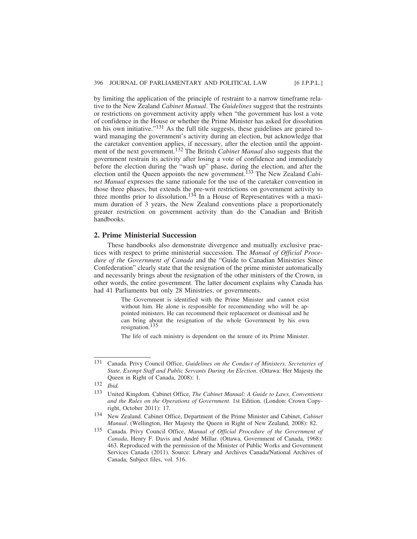by limiting the application of the principle of restraint to a narrow timeframe relative to the New Zealand *Cabinet Manual*. The *Guidelines* suggest that the restraints or restrictions on government activity apply when "the government has lost a vote of confidence in the House or whether the Prime Minister has asked for dissolution on his own initiative."131 As the full title suggests, these guidelines are geared toward managing the government's activity during an election, but acknowledge that the caretaker convention applies, if necessary, after the election until the appointment of the next government.132 The British *Cabinet Manual* also suggests that the government restrain its activity after losing a vote of confidence and immediately before the election during the "wash up" phase, during the election, and after the election until the Queen appoints the new government.133 The New Zealand *Cabinet Manual* expresses the same rationale for the use of the caretaker convention in those three phases, but extends the pre-writ restrictions on government activity to three months prior to dissolution.<sup>134</sup> In a House of Representatives with a maximum duration of 3 years, the New Zealand conventions place a proportionately greater restriction on government activity than do the Canadian and British handbooks.

### **2. Prime Ministerial Succession**

These handbooks also demonstrate divergence and mutually exclusive practices with respect to prime ministerial succession. The *Manual of Official Procedure of the Government of Canada* and the "Guide to Canadian Ministries Since Confederation" clearly state that the resignation of the prime minister automatically and necessarily brings about the resignation of the other ministers of the Crown, in other words, the entire government. The latter document explains why Canada has had 41 Parliaments but only 28 Ministries, or governments.

> The Government is identified with the Prime Minister and cannot exist without him. He alone is responsible for recommending who will be appointed ministers. He can recommend their replacement or dismissal and he can bring about the resignation of the whole Government by his own resignation.<sup>135</sup>

> The life of each ministry is dependent on the tenure of its Prime Minister.

<sup>131</sup> Canada. Privy Council Office, *Guidelines on the Conduct of Ministers, Secretaries of State, Exempt Staff and Public Servants During An Election*. (Ottawa: Her Majesty the Queen in Right of Canada, 2008): 1.

<sup>132</sup> *Ibid.*

<sup>133</sup> United Kingdom. Cabinet Office, *The Cabinet Manual: A Guide to Laws, Conventions and the Rules on the Operations of Government*. 1st Edition. (London: Crown Copyright, October 2011): 17.

<sup>134</sup> New Zealand. Cabinet Office, Department of the Prime Minister and Cabinet, *Cabinet Manual*. (Wellington, Her Majesty the Queen in Right of New Zealand, 2008): 82.

<sup>135</sup> Canada. Privy Council Office, *Manual of Official Procedure of the Government of Canada*, Henry F. Davis and André Millar. (Ottawa, Government of Canada, 1968): 463. Reproduced with the permission of the Minister of Public Works and Government Services Canada (2011). Source: Library and Archives Canada/National Archives of Canada, Subject files, vol. 516.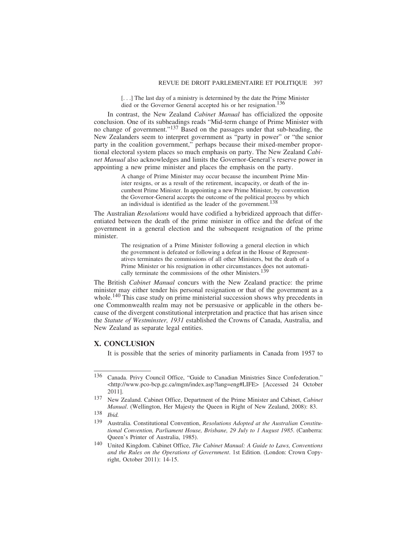[...] The last day of a ministry is determined by the date the Prime Minister died or the Governor General accepted his or her resignation.<sup>136</sup>

In contrast, the New Zealand *Cabinet Manual* has officialized the opposite conclusion. One of its subheadings reads "Mid-term change of Prime Minister with no change of government."137 Based on the passages under that sub-heading, the New Zealanders seem to interpret government as "party in power" or "the senior party in the coalition government," perhaps because their mixed-member proportional electoral system places so much emphasis on party. The New Zealand *Cabinet Manual* also acknowledges and limits the Governor-General's reserve power in appointing a new prime minister and places the emphasis on the party.

> A change of Prime Minister may occur because the incumbent Prime Minister resigns, or as a result of the retirement, incapacity, or death of the incumbent Prime Minister. In appointing a new Prime Minister, by convention the Governor-General accepts the outcome of the political process by which an individual is identified as the leader of the government.<sup>138</sup>

The Australian *Resolutions* would have codified a hybridized approach that differentiated between the death of the prime minister in office and the defeat of the government in a general election and the subsequent resignation of the prime minister.

> The resignation of a Prime Minister following a general election in which the government is defeated or following a defeat in the House of Representatives terminates the commissions of all other Ministers, but the death of a Prime Minister or his resignation in other circumstances does not automatically terminate the commissions of the other Ministers.<sup>139</sup>

The British *Cabinet Manual* concurs with the New Zealand practice: the prime minister may either tender his personal resignation or that of the government as a whole.<sup>140</sup> This case study on prime ministerial succession shows why precedents in one Commonwealth realm may not be persuasive or applicable in the others because of the divergent constitutional interpretation and practice that has arisen since the *Statute of Westminster, 1931* established the Crowns of Canada, Australia, and New Zealand as separate legal entities.

### **X. CONCLUSION**

It is possible that the series of minority parliaments in Canada from 1957 to

<sup>136</sup> Canada. Privy Council Office, "Guide to Canadian Ministries Since Confederation." <http://www.pco-bcp.gc.ca/mgm/index.asp?lang=eng#LIFE> [Accessed 24 October 2011].

<sup>137</sup> New Zealand. Cabinet Office, Department of the Prime Minister and Cabinet, *Cabinet Manual*. (Wellington, Her Majesty the Queen in Right of New Zealand, 2008): 83.

<sup>138</sup> *Ibid.*

<sup>139</sup> Australia. Constitutional Convention, *Resolutions Adopted at the Australian Constitutional Convention, Parliament House, Brisbane, 29 July to 1 August 1985*. (Canberra: Queen's Printer of Australia, 1985).

<sup>140</sup> United Kingdom. Cabinet Office, *The Cabinet Manual: A Guide to Laws, Conventions and the Rules on the Operations of Government*. 1st Edition. (London: Crown Copyright, October 2011): 14-15.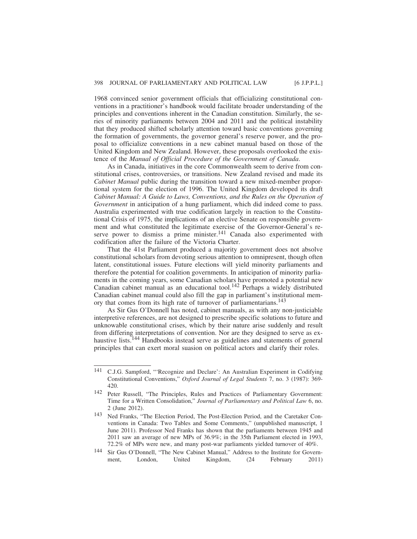1968 convinced senior government officials that officializing constitutional conventions in a practitioner's handbook would facilitate broader understanding of the principles and conventions inherent in the Canadian constitution. Similarly, the series of minority parliaments between 2004 and 2011 and the political instability that they produced shifted scholarly attention toward basic conventions governing the formation of governments, the governor general's reserve power, and the proposal to officialize conventions in a new cabinet manual based on those of the United Kingdom and New Zealand. However, these proposals overlooked the existence of the *Manual of Official Procedure of the Government of Canada*.

As in Canada, initiatives in the core Commonwealth seem to derive from constitutional crises, controversies, or transitions. New Zealand revised and made its *Cabinet Manual* public during the transition toward a new mixed-member proportional system for the election of 1996. The United Kingdom developed its draft *Cabinet Manual: A Guide to Laws, Conventions, and the Rules on the Operation of Government* in anticipation of a hung parliament, which did indeed come to pass. Australia experimented with true codification largely in reaction to the Constitutional Crisis of 1975, the implications of an elective Senate on responsible government and what constituted the legitimate exercise of the Governor-General's reserve power to dismiss a prime minister.<sup>141</sup> Canada also experimented with codification after the failure of the Victoria Charter.

That the 41st Parliament produced a majority government does not absolve constitutional scholars from devoting serious attention to omnipresent, though often latent, constitutional issues. Future elections will yield minority parliaments and therefore the potential for coalition governments. In anticipation of minority parliaments in the coming years, some Canadian scholars have promoted a potential new Canadian cabinet manual as an educational tool.142 Perhaps a widely distributed Canadian cabinet manual could also fill the gap in parliament's institutional memory that comes from its high rate of turnover of parliamentarians.<sup>143</sup>

As Sir Gus O'Donnell has noted, cabinet manuals, as with any non-justiciable interpretive references, are not designed to prescribe specific solutions to future and unknowable constitutional crises, which by their nature arise suddenly and result from differing interpretations of convention. Nor are they designed to serve as exhaustive lists.<sup>144</sup> Handbooks instead serve as guidelines and statements of general principles that can exert moral suasion on political actors and clarify their roles.

<sup>141</sup> C.J.G. Sampford, "'Recognize and Declare': An Australian Experiment in Codifying Constitutional Conventions," *Oxford Journal of Legal Students* 7, no. 3 (1987): 369- 420.

<sup>142</sup> Peter Russell, "The Principles, Rules and Practices of Parliamentary Government: Time for a Written Consolidation," *Journal of Parliamentary and Political Law* 6, no. 2 (June 2012).

<sup>143</sup> Ned Franks, "The Election Period, The Post-Election Period, and the Caretaker Conventions in Canada: Two Tables and Some Comments," (unpublished manuscript, 1 June 2011). Professor Ned Franks has shown that the parliaments between 1945 and 2011 saw an average of new MPs of 36.9%; in the 35th Parliament elected in 1993, 72.2% of MPs were new, and many post-war parliaments yielded turnover of 40%.

<sup>144</sup> Sir Gus O'Donnell, "The New Cabinet Manual," Address to the Institute for Government, London, United Kingdom, (24 February 2011)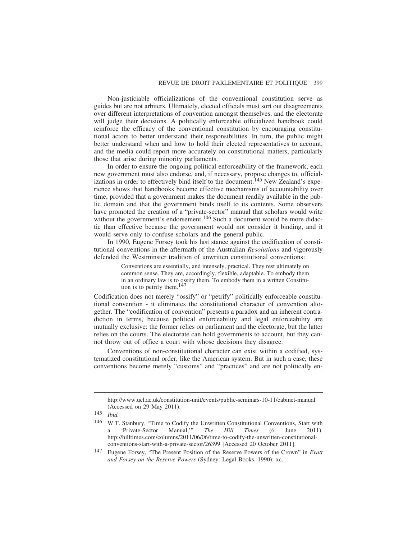Non-justiciable officializations of the conventional constitution serve as guides but are not arbiters. Ultimately, elected officials must sort out disagreements over different interpretations of convention amongst themselves, and the electorate will judge their decisions. A politically enforceable officialized handbook could reinforce the efficacy of the conventional constitution by encouraging constitutional actors to better understand their responsibilities. In turn, the public might better understand when and how to hold their elected representatives to account, and the media could report more accurately on constitutional matters, particularly those that arise during minority parliaments.

In order to ensure the ongoing political enforceability of the framework, each new government must also endorse, and, if necessary, propose changes to, officializations in order to effectively bind itself to the document.<sup>145</sup> New Zealand's experience shows that handbooks become effective mechanisms of accountability over time, provided that a government makes the document readily available in the public domain and that the government binds itself to its contents. Some observers have promoted the creation of a "private-sector" manual that scholars would write without the government's endorsement.<sup>146</sup> Such a document would be more didactic than effective because the government would not consider it binding, and it would serve only to confuse scholars and the general public.

In 1990, Eugene Forsey took his last stance against the codification of constitutional conventions in the aftermath of the Australian *Resolutions* and vigorously defended the Westminster tradition of unwritten constitutional conventions:

> Conventions are essentially, and intensely, practical. They rest ultimately on common sense. They are, accordingly, flexible, adaptable. To embody them in an ordinary law is to ossify them. To embody them in a written Constitution is to petrify them.<sup>147</sup>

Codification does not merely "ossify" or "petrify" politically enforceable constitutional convention - it eliminates the constitutional character of convention altogether. The "codification of convention" presents a paradox and an inherent contradiction in terms, because political enforceability and legal enforceability are mutually exclusive: the former relies on parliament and the electorate, but the latter relies on the courts. The electorate can hold governments to account, but they cannot throw out of office a court with whose decisions they disagree.

Conventions of non-constitutional character can exist within a codified, systematized constitutional order, like the American system. But in such a case, these conventions become merely "customs" and "practices" and are not politically en-

http://www.ucl.ac.uk/constitution-unit/events/public-seminars-10-11/cabinet-manual (Accessed on 29 May 2011).

<sup>145</sup> *Ibid.*

<sup>&</sup>lt;sup>146</sup> W.T. Stanbury, "Time to Codify the Unwritten Constitutional Conventions, Start with a 'Private-Sector Manual," *The Hill Times* (6 June 2011). a 'Private-Sector Manual,'" *The Hill Times* (6 June 2011). http://hilltimes.com/columns/2011/06/06/time-to-codify-the-unwritten-constitutionalconventions-start-with-a-private-sector/26399 [Accessed 20 October 2011].

<sup>147</sup> Eugene Forsey, "The Present Position of the Reserve Powers of the Crown" in *Evatt and Forsey on the Reserve Powers* (Sydney: Legal Books, 1990): xc.